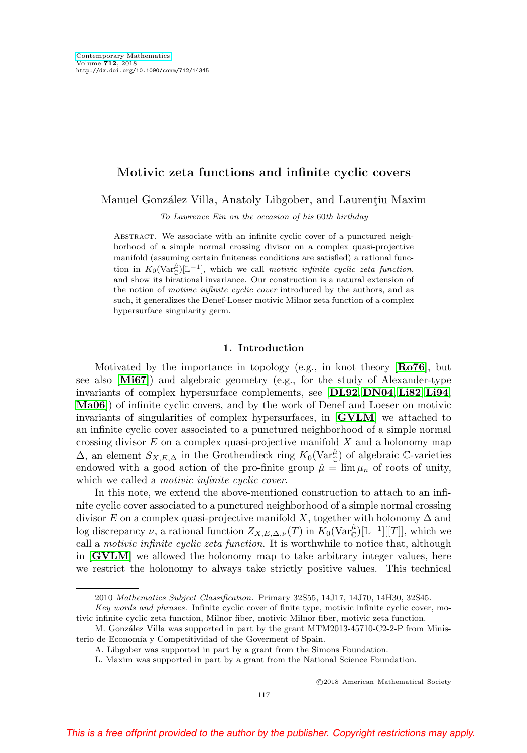# **Motivic zeta functions and infinite cyclic covers**

Manuel González Villa, Anatoly Libgober, and Laurentiu Maxim

To Lawrence Ein on the occasion of his 60th birthday

ABSTRACT. We associate with an infinite cyclic cover of a punctured neighborhood of a simple normal crossing divisor on a complex quasi-projective manifold (assuming certain finiteness conditions are satisfied) a rational function in  $K_0(\text{Var}_{\mathbb{C}}^{\hat{\mu}})[\mathbb{L}^{-1}]$ , which we call motivic infinite cyclic zeta function, and show its birational invariance. Our construction is a natural extension of the notion of motivic infinite cyclic cover introduced by the authors, and as such, it generalizes the Denef-Loeser motivic Milnor zeta function of a complex hypersurface singularity germ.

### **1. Introduction**

Motivated by the importance in topology (e.g., in knot theory [**[Ro76](#page-23-0)**], but see also [**[Mi67](#page-23-1)**]) and algebraic geometry (e.g., for the study of Alexander-type invariants of complex hypersurface complements, see [**[DL92](#page-23-2)**, **[DN04](#page-23-3)**, **[Li82](#page-23-4)**, **[Li94](#page-23-5)**, **[Ma06](#page-23-6)**]) of infinite cyclic covers, and by the work of Denef and Loeser on motivic invariants of singularities of complex hypersurfaces, in [**[GVLM](#page-23-7)**] we attached to an infinite cyclic cover associated to a punctured neighborhood of a simple normal crossing divisor  $E$  on a complex quasi-projective manifold  $X$  and a holonomy map  $\Delta$ , an element  $S_{X,E,\Delta}$  in the Grothendieck ring  $K_0(\text{Var}_{\mathbb{C}}^{\hat{\mu}})$  of algebraic C-varieties endowed with a good action of the pro-finite group  $\hat{\mu} = \lim \mu_n$  of roots of unity, which we called a *motivic infinite cyclic cover*.

In this note, we extend the above-mentioned construction to attach to an infinite cyclic cover associated to a punctured neighborhood of a simple normal crossing divisor E on a complex quasi-projective manifold X, together with holonomy  $\Delta$  and log discrepancy  $\nu$ , a rational function  $Z_{X,E,\Delta,\nu}(T)$  in  $K_0(\text{Var}_{\mathbb{C}}^{\hat{\mu}})[\mathbb{L}^{-1}][[T]]$ , which we call a motivic infinite cyclic zeta function. It is worthwhile to notice that, although in [**[GVLM](#page-23-7)**] we allowed the holonomy map to take arbitrary integer values, here we restrict the holonomy to always take strictly positive values. This technical

-c 2018 American Mathematical Society

<sup>2010</sup> Mathematics Subject Classification. Primary 32S55, 14J17, 14J70, 14H30, 32S45.

Key words and phrases. Infinite cyclic cover of finite type, motivic infinite cyclic cover, motivic infinite cyclic zeta function, Milnor fiber, motivic Milnor fiber, motivic zeta function.

M. González Villa was supported in part by the grant MTM2013-45710-C2-2-P from Ministerio de Economía y Competitividad of the Goverment of Spain.

A. Libgober was supported in part by a grant from the Simons Foundation.

L. Maxim was supported in part by a grant from the National Science Foundation.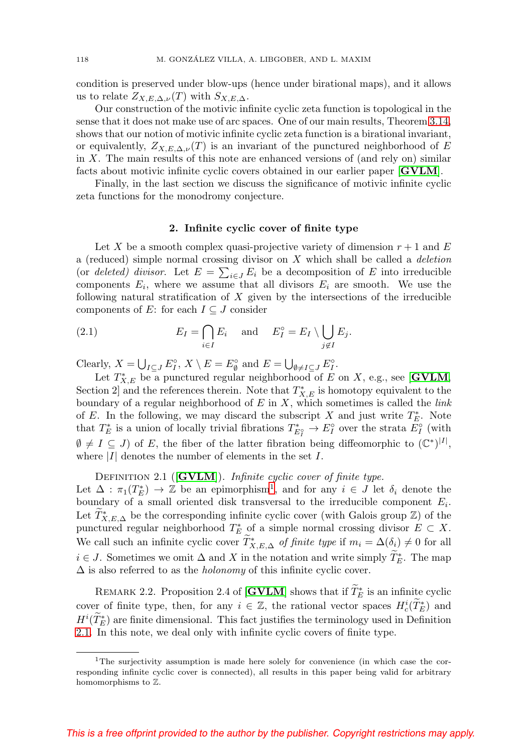condition is preserved under blow-ups (hence under birational maps), and it allows us to relate  $Z_{X,E,\Delta,\nu}(T)$  with  $S_{X,E,\Delta}$ .

Our construction of the motivic infinite cyclic zeta function is topological in the sense that it does not make use of arc spaces. One of our main results, Theorem [3.14,](#page-6-0) shows that our notion of motivic infinite cyclic zeta function is a birational invariant, or equivalently,  $Z_{X,E,\Delta,\nu}(T)$  is an invariant of the punctured neighborhood of E in X. The main results of this note are enhanced versions of (and rely on) similar facts about motivic infinite cyclic covers obtained in our earlier paper [**[GVLM](#page-23-7)**].

Finally, in the last section we discuss the significance of motivic infinite cyclic zeta functions for the monodromy conjecture.

### **2. Infinite cyclic cover of finite type**

<span id="page-1-2"></span>Let X be a smooth complex quasi-projective variety of dimension  $r + 1$  and E a (reduced) simple normal crossing divisor on  $X$  which shall be called a *deletion* (or *deleted)* divisor. Let  $E = \sum_{i \in J} E_i$  be a decomposition of E into irreducible components  $E_i$ , where we assume that all divisors  $E_i$  are smooth. We use the following natural stratification of  $X$  given by the intersections of the irreducible components of E: for each  $I \subseteq J$  consider

<span id="page-1-3"></span>(2.1) 
$$
E_I = \bigcap_{i \in I} E_i \quad \text{and} \quad E_I^\circ = E_I \setminus \bigcup_{j \notin I} E_j.
$$

Clearly,  $X = \bigcup_{I \subseteq J} E_I^{\circ}, X \setminus E = E_{\emptyset}^{\circ}$  and  $E = \bigcup_{\emptyset \neq I \subseteq J} E_I^{\circ}$ .

Let  $T^*_{X,E}$  be a punctured regular neighborhood of E on X, e.g., see [**[GVLM](#page-23-7)**, Section 2] and the references therein. Note that  $T_{X,E}^*$  is homotopy equivalent to the boundary of a regular neighborhood of  $E$  in  $X$ , which sometimes is called the *link* of E. In the following, we may discard the subscript X and just write  $T_E^*$ . Note that  $T_E^*$  is a union of locally trivial fibrations  $T_{E_I^{\circ}}^* \to E_I^{\circ}$  over the strata  $E_I^{\circ}$  (with  $\emptyset \neq I \subseteq J$  of E, the fiber of the latter fibration being diffeomorphic to  $(\mathbb{C}^*)^{|I|}$ , where  $|I|$  denotes the number of elements in the set I.

DEFINITION 2.1 ([**[GVLM](#page-23-7)**]). Infinite cyclic cover of finite type.

<span id="page-1-1"></span>Let  $\Delta : \pi_1(T_E^*) \to \mathbb{Z}$  $\Delta : \pi_1(T_E^*) \to \mathbb{Z}$  $\Delta : \pi_1(T_E^*) \to \mathbb{Z}$  be an epimorphism<sup>1</sup>, and for any  $i \in J$  let  $\delta_i$  denote the boundary of a small oriented disk transversal to the irreducible component  $E_i$ . Let  $\tilde{T}_{X,E,\Delta}^*$  be the corresponding infinite cyclic cover (with Galois group  $\mathbb{Z}$ ) of the punctured regular neighborhood  $T_E^*$  of a simple normal crossing divisor  $E \subset X$ . We call such an infinite cyclic cover  $\tilde{T}_{X,E,\Delta}^*$  of finite type if  $m_i = \Delta(\delta_i) \neq 0$  for all  $i \in J$ . Sometimes we omit  $\Delta$  and X in the notation and write simply  $T_E^*$ . The map  $\Delta$  is also referred to as the *holonomy* of this infinite cyclic cover.

REMARK 2.2. Proposition 2.4 of  $[\text{GVLM}]$  $[\text{GVLM}]$  $[\text{GVLM}]$  shows that if  $\widetilde{T}_E^*$  is an infinite cyclic cover of finite type, then, for any  $i \in \mathbb{Z}$ , the rational vector spaces  $H_c^i(\tilde{T}_k^*)$  and  $H^{i}(\tilde{T}_{E})$  are finite dimensional. This fact justifies the terminology used in Definition [2.1.](#page-1-1) In this note, we deal only with infinite cyclic covers of finite type.

<span id="page-1-0"></span><sup>&</sup>lt;sup>1</sup>The surjectivity assumption is made here solely for convenience (in which case the corresponding infinite cyclic cover is connected), all results in this paper being valid for arbitrary homomorphisms to Z.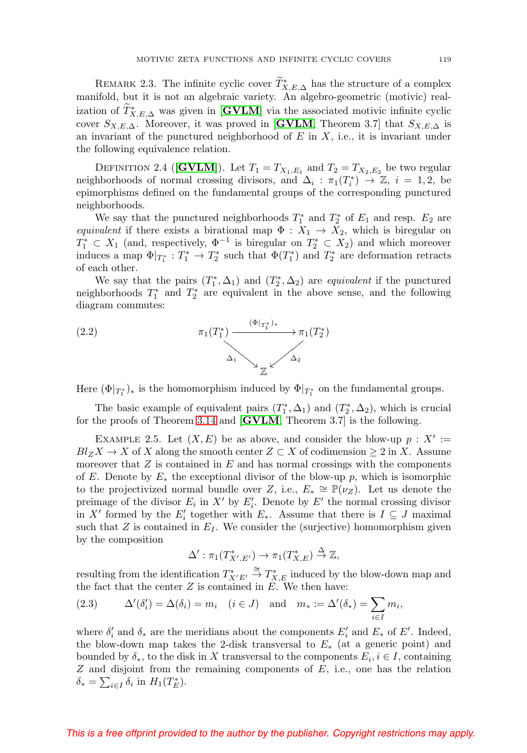REMARK 2.3. The infinite cyclic cover  $\widetilde{T}_{X,E,\Delta}^*$  has the structure of a complex manifold, but it is not an algebraic variety. An algebro-geometric (motivic) realization of  $\widetilde{T}_{X,E,\Delta}^*$  was given in [**[GVLM](#page-23-7)**] via the associated motivic infinite cyclic cover  $S_{X,E,\Delta}$ . Moreover, it was proved in [**[GVLM](#page-23-7)**, Theorem 3.7] that  $S_{X,E,\Delta}$  is an invariant of the punctured neighborhood of  $E$  in  $X$ , i.e., it is invariant under the following equivalence relation.

<span id="page-2-1"></span>DEFINITION 2.4 ([**[GVLM](#page-23-7)**]). Let  $T_1 = T_{X_1,E_1}$  and  $T_2 = T_{X_2,E_2}$  be two regular neighborhoods of normal crossing divisors, and  $\Delta_i : \pi_1(T_i^*) \to \mathbb{Z}$ ,  $i = 1, 2$ , be epimorphisms defined on the fundamental groups of the corresponding punctured neighborhoods.

We say that the punctured neighborhoods  $T_1^*$  and  $T_2^*$  of  $E_1$  and resp.  $E_2$  are equivalent if there exists a birational map  $\Phi : X_1 \to X_2$ , which is biregular on  $T_1^* \subset X_1$  (and, respectively,  $\Phi^{-1}$  is biregular on  $T_2^* \subset X_2$ ) and which moreover induces a map  $\Phi|_{T_1^*}: T_1^* \to T_2^*$  such that  $\Phi(T_1^*)$  and  $T_2^*$  are deformation retracts of each other.

We say that the pairs  $(T_1^*, \Delta_1)$  and  $(T_2^*, \Delta_2)$  are *equivalent* if the punctured neighborhoods  $T_1^*$  and  $T_2^*$  are equivalent in the above sense, and the following diagram commutes:

(2.2) 
$$
\pi_1(T_1^*) \xrightarrow{\qquad (\Phi|_{T_1^*})_*} \pi_1(T_2^*)
$$

$$
\Delta_1 \searrow \Delta_2
$$

Here  $(\Phi|_{T_1^*})_*$  is the homomorphism induced by  $\Phi|_{T_1^*}$  on the fundamental groups.

The basic example of equivalent pairs  $(T_1^*, \Delta_1)$  and  $(T_2^*, \Delta_2)$ , which is crucial for the proofs of Theorem [3.14](#page-6-0) and [**[GVLM](#page-23-7)**, Theorem 3.7] is the following.

<span id="page-2-0"></span>EXAMPLE 2.5. Let  $(X, E)$  be as above, and consider the blow-up  $p : X' :=$  $Bl_Z X \to X$  of X along the smooth center  $Z \subset X$  of codimension  $\geq 2$  in X. Assume moreover that  $Z$  is contained in  $E$  and has normal crossings with the components of E. Denote by  $E_*$  the exceptional divisor of the blow-up p, which is isomorphic to the projectivized normal bundle over Z, i.e.,  $E_* \cong \mathbb{P}(\nu_Z)$ . Let us denote the preimage of the divisor  $E_i$  in  $X'$  by  $E'_i$ . Denote by  $E'$  the normal crossing divisor in X' formed by the  $E'_i$  together with  $E_*$ . Assume that there is  $I \subseteq J$  maximal such that  $Z$  is contained in  $E_I$ . We consider the (surjective) homomorphism given by the composition

$$
\Delta': \pi_1(T^*_{X',E'}) \to \pi_1(T^*_{X,E}) \stackrel{\Delta}{\to} \mathbb{Z},
$$

resulting from the identification  $T^*_{X'E'} \stackrel{\cong}{\to} T^*_{X,E}$  induced by the blow-down map and the fact that the center  $Z$  is contained in  $E$ . We then have:

<span id="page-2-2"></span>(2.3) 
$$
\Delta'(\delta_i') = \Delta(\delta_i) = m_i \quad (i \in J) \quad \text{and} \quad m_* := \Delta'(\delta_*) = \sum_{i \in I} m_i,
$$

where  $\delta_i'$  and  $\delta_*$  are the meridians about the components  $E_i'$  and  $E_*$  of  $E'$ . Indeed, the blow-down map takes the 2-disk transversal to  $E_*$  (at a generic point) and bounded by  $\delta_*$ , to the disk in X transversal to the components  $E_i, i \in I$ , containing  $Z$  and disjoint from the remaining components of  $E$ , i.e., one has the relation  $\delta_* = \sum_{i \in I} \delta_i$  in  $H_1(T_E^*)$ .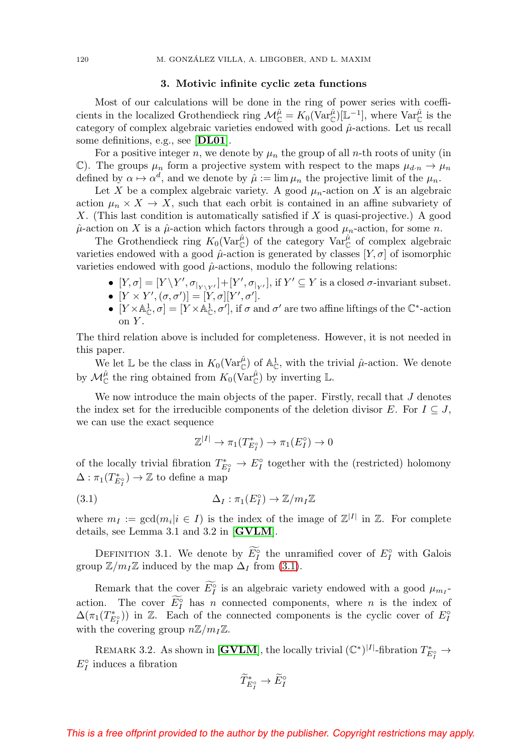### **3. Motivic infinite cyclic zeta functions**

Most of our calculations will be done in the ring of power series with coefficients in the localized Grothendieck ring  $\mathcal{M}_{\mathbb{C}}^{\hat{\mu}} = K_0(\text{Var}_{\mathbb{C}}^{\hat{\mu}})[\mathbb{L}^{-1}]$ , where  $\text{Var}_{\mathbb{C}}^{\hat{\mu}}$  is the category of complex algebraic varieties endowed with good  $\hat{\mu}$ -actions. Let us recall some definitions, e.g., see [**[DL01](#page-23-8)**].

For a positive integer n, we denote by  $\mu_n$  the group of all n-th roots of unity (in C). The groups  $\mu_n$  form a projective system with respect to the maps  $\mu_{d,n} \to \mu_n$ defined by  $\alpha \mapsto \alpha^d$ , and we denote by  $\hat{\mu} := \lim \mu_n$  the projective limit of the  $\mu_n$ .

Let X be a complex algebraic variety. A good  $\mu_n$ -action on X is an algebraic action  $\mu_n \times X \to X$ , such that each orbit is contained in an affine subvariety of X. (This last condition is automatically satisfied if X is quasi-projective.) A good  $\hat{\mu}$ -action on X is a  $\hat{\mu}$ -action which factors through a good  $\mu_n$ -action, for some n.

The Grothendieck ring  $K_0(\text{Var}_{\mathbb{C}}^{\hat{\mu}})$  of the category  $\text{Var}_{\mathbb{C}}^{\hat{\mu}}$  of complex algebraic varieties endowed with a good  $\hat{\mu}$ -action is generated by classes [Y,  $\sigma$ ] of isomorphic varieties endowed with good  $\hat{\mu}$ -actions, modulo the following relations:

- $\bullet$   $[Y, \sigma] = [Y \setminus Y', \sigma_{|_{Y \setminus Y'}}] + [Y', \sigma_{|_{Y'}}],$  if  $Y' \subseteq Y$  is a closed  $\sigma$ -invariant subset.
- $[Y \times Y', (\sigma, \sigma')] = [Y, \sigma][Y', \sigma'].$
- $[Y \times \mathbb{A}_{\mathbb{C}}^1, \sigma] = [Y \times \mathbb{A}_{\mathbb{C}}^1, \sigma'],$  if  $\sigma$  and  $\sigma'$  are two affine liftings of the  $\mathbb{C}^*$ -action on  $Y$ .

The third relation above is included for completeness. However, it is not needed in this paper.

We let L be the class in  $K_0(\mathrm{Var}_{\mathbb{C}}^{\hat{\mu}})$  of  $\mathbb{A}_{\mathbb{C}}^1$ , with the trivial  $\hat{\mu}$ -action. We denote by  $\mathcal{M}_{\mathbb{C}}^{\hat{\mu}}$  the ring obtained from  $K_0(\text{Var}_{\mathbb{C}}^{\hat{\mu}})$  by inverting  $\mathbb{L}$ .

We now introduce the main objects of the paper. Firstly, recall that  $J$  denotes the index set for the irreducible components of the deletion divisor E. For  $I \subseteq J$ , we can use the exact sequence

$$
\mathbb{Z}^{|I|} \to \pi_1(T_{E_I^{\circ}}^*) \to \pi_1(E_I^{\circ}) \to 0
$$

of the locally trivial fibration  $T_{E_I^{\circ}}^* \to E_I^{\circ}$  together with the (restricted) holomony  $\Delta: \pi_1(T^*_{E_I^{\circ}}) \to \mathbb{Z}$  to define a map

<span id="page-3-0"></span>(3.1) 
$$
\Delta_I : \pi_1(E_I^{\circ}) \to \mathbb{Z}/m_I\mathbb{Z}
$$

where  $m_I := \gcd(m_i | i \in I)$  is the index of the image of  $\mathbb{Z}^{|I|}$  in  $\mathbb{Z}$ . For complete details, see Lemma 3.1 and 3.2 in [**[GVLM](#page-23-7)**].

<span id="page-3-1"></span>DEFINITION 3.1. We denote by  $\widetilde{E}_I^{\circ}$  the unramified cover of  $E_I^{\circ}$  with Galois group  $\mathbb{Z}/m_I\mathbb{Z}$  induced by the map  $\Delta_I$  from [\(3.1\)](#page-3-0).

Remark that the cover  $E_I^{\circ}$  is an algebraic variety endowed with a good  $\mu_{m_I}$ action. The cover  $\overline{E}_1^{\circ}$  has n connected components, where n is the index of  $\Lambda(-T^*)$  in  $\mathbb{Z}$ . Each of the connected components is the ordinary of  $F^{\circ}$  $\Delta(\pi_1(T_{E_I^*}^*))$  in Z. Each of the connected components is the cyclic cover of  $E_I^{\circ}$ with the covering group  $n\mathbb{Z}/m_I\mathbb{Z}$ .

REMARK 3.2. As shown in [**[GVLM](#page-23-7)**], the locally trivial  $(\mathbb{C}^*)^{|I|}$ -fibration  $T_{E_I^*}^* \to$  $E_I^{\circ}$  induces a fibration

$$
\widetilde{T}^*_{E_I^{\circ}} \to \widetilde{E}_I^{\circ}
$$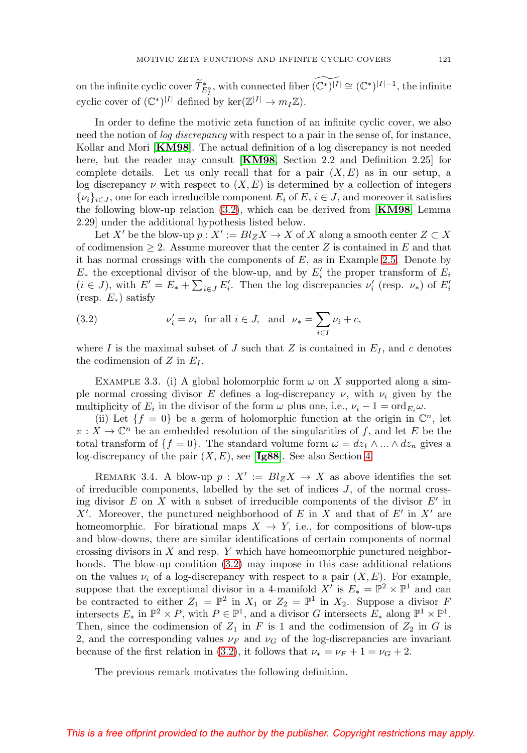on the infinite cyclic cover  $\widetilde{T}_{E_i^{\circ}}^*$ , with connected fiber  $(\mathbb{C}^*)^{|I|} \cong (\mathbb{C}^*)^{|I|-1}$ , the infinite cyclic cover of  $(\mathbb{C}^*)^{|I|}$  defined by ker $(\mathbb{Z}^{|I|} \to m_I \mathbb{Z}).$ 

In order to define the motivic zeta function of an infinite cyclic cover, we also need the notion of log discrepancy with respect to a pair in the sense of, for instance, Kollar and Mori [**[KM98](#page-23-9)**]. The actual definition of a log discrepancy is not needed here, but the reader may consult [**[KM98](#page-23-9)**, Section 2.2 and Definition 2.25] for complete details. Let us only recall that for a pair  $(X, E)$  as in our setup, a log discrepancy  $\nu$  with respect to  $(X, E)$  is determined by a collection of integers  $\{\nu_i\}_{i\in J}$ , one for each irreducible component  $E_i$  of  $E, i \in J$ , and moreover it satisfies the following blow-up relation [\(3.2\)](#page-4-0), which can be derived from [**[KM98](#page-23-9)**, Lemma 2.29] under the additional hypothesis listed below.

Let X' be the blow-up  $p : X' := Bl_Z X \to X$  of X along a smooth center  $Z \subset X$ of codimension  $\geq 2$ . Assume moreover that the center Z is contained in E and that it has normal crossings with the components of  $E$ , as in Example [2.5.](#page-2-0) Denote by  $E_*$  the exceptional divisor of the blow-up, and by  $E'_i$  the proper transform of  $E_i$  $(i \in J)$ , with  $E' = E_* + \sum_{i \in J} E'_i$ . Then the log discrepancies  $\nu'_i$  (resp.  $\nu_*$ ) of  $E'_i$ (resp.  $E_*$ ) satisfy

<span id="page-4-0"></span>(3.2) 
$$
\nu'_i = \nu_i \text{ for all } i \in J, \text{ and } \nu_* = \sum_{i \in I} \nu_i + c,
$$

where I is the maximal subset of J such that Z is contained in  $E_I$ , and c denotes the codimension of  $Z$  in  $E_I$ .

<span id="page-4-1"></span>EXAMPLE 3.3. (i) A global holomorphic form  $\omega$  on X supported along a simple normal crossing divisor E defines a log-discrepancy  $\nu$ , with  $\nu_i$  given by the multiplicity of  $E_i$  in the divisor of the form  $\omega$  plus one, i.e.,  $\nu_i - 1 = \text{ord}_{E_i} \omega$ .

(ii) Let  $\{f = 0\}$  be a germ of holomorphic function at the origin in  $\mathbb{C}^n$ , let  $\pi: X \to \mathbb{C}^n$  be an embedded resolution of the singularities of f, and let E be the total transform of  $\{f = 0\}$ . The standard volume form  $\omega = dz_1 \wedge ... \wedge dz_n$  gives a log-discrepancy of the pair  $(X, E)$ , see [**[Ig88](#page-23-10)**]. See also Section [4.](#page-18-0)

REMARK 3.4. A blow-up  $p : X' := Bl_Z X \to X$  as above identifies the set of irreducible components, labelled by the set of indices  $J$ , of the normal crossing divisor  $E$  on  $X$  with a subset of irreducible components of the divisor  $E'$  in X'. Moreover, the punctured neighborhood of  $E$  in  $X$  and that of  $E'$  in  $X'$  are homeomorphic. For birational maps  $X \to Y$ , i.e., for compositions of blow-ups and blow-downs, there are similar identifications of certain components of normal crossing divisors in  $X$  and resp.  $Y$  which have homeomorphic punctured neighborhoods. The blow-up condition [\(3.2\)](#page-4-0) may impose in this case additional relations on the values  $\nu_i$  of a log-discrepancy with respect to a pair  $(X, E)$ . For example, suppose that the exceptional divisor in a 4-manifold X' is  $E_* = \mathbb{P}^2 \times \mathbb{P}^1$  and can be contracted to either  $Z_1 = \mathbb{P}^2$  in  $X_1$  or  $Z_2 = \mathbb{P}^1$  in  $X_2$ . Suppose a divisor F intersects  $E_*$  in  $\mathbb{P}^2 \times P$ , with  $P \in \mathbb{P}^1$ , and a divisor G intersects  $E_*$  along  $\mathbb{P}^1 \times \mathbb{P}^1$ . Then, since the codimension of  $Z_1$  in F is 1 and the codimension of  $Z_2$  in G is 2, and the corresponding values  $\nu_F$  and  $\nu_G$  of the log-discrepancies are invariant because of the first relation in [\(3.2\)](#page-4-0), it follows that  $\nu_* = \nu_F + 1 = \nu_G + 2$ .

The previous remark motivates the following definition.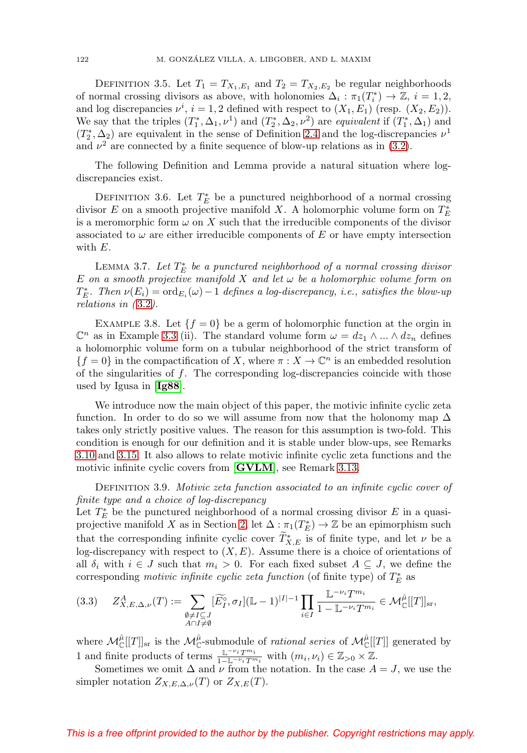<span id="page-5-2"></span>DEFINITION 3.5. Let  $T_1 = T_{X_1,E_1}$  and  $T_2 = T_{X_2,E_2}$  be regular neighborhoods of normal crossing divisors as above, with holonomies  $\Delta_i : \pi_1(T_i^*) \to \mathbb{Z}$ ,  $i = 1, 2$ , and log discrepancies  $\nu^i$ ,  $i = 1, 2$  defined with respect to  $(X_1, E_1)$  (resp.  $(X_2, E_2)$ ). We say that the triples  $(T_1^*, \Delta_1, \nu^1)$  and  $(T_2^*, \Delta_2, \nu^2)$  are *equivalent* if  $(T_1^*, \Delta_1)$  and  $(T_2^*, \Delta_2)$  are equivalent in the sense of Definition [2.4](#page-2-1) and the log-discrepancies  $\nu^1$ and  $\nu^2$  are connected by a finite sequence of blow-up relations as in [\(3.2\)](#page-4-0).

The following Definition and Lemma provide a natural situation where logdiscrepancies exist.

DEFINITION 3.6. Let  $T_E^*$  be a punctured neighborhood of a normal crossing divisor E on a smooth projective manifold X. A holomorphic volume form on  $T_E^*$ is a meromorphic form  $\omega$  on X such that the irreducible components of the divisor associated to  $\omega$  are either irreducible components of E or have empty intersection with E.

LEMMA 3.7. Let  $T_E^*$  be a punctured neighborhood of a normal crossing divisor E on a smooth projective manifold X and let  $\omega$  be a holomorphic volume form on  $T_E^*$ . Then  $\nu(E_i) = \text{ord}_{E_i}(\omega) - 1$  defines a log-discrepancy, i.e., satisfies the blow-up relations in  $(3.2)$  $(3.2)$  $(3.2)$ .

EXAMPLE 3.8. Let  $\{f = 0\}$  be a germ of holomorphic function at the orgin in  $\mathbb{C}^n$  as in Example [3.3](#page-4-1) (ii). The standard volume form  $\omega = dz_1 \wedge ... \wedge dz_n$  defines a holomorphic volume form on a tubular neighborhood of the strict transform of  ${f = 0}$  in the compactification of X, where  $\pi : X \to \mathbb{C}^n$  is an embedded resolution of the singularities of  $f$ . The corresponding log-discrepancies coincide with those used by Igusa in [**[Ig88](#page-23-10)**].

We introduce now the main object of this paper, the motivic infinite cyclic zeta function. In order to do so we will assume from now that the holonomy map  $\Delta$ takes only strictly positive values. The reason for this assumption is two-fold. This condition is enough for our definition and it is stable under blow-ups, see Remarks [3.10](#page-6-1) and [3.15.](#page-7-0) It also allows to relate motivic infinite cyclic zeta functions and the motivic infinite cyclic covers from [**[GVLM](#page-23-7)**], see Remark [3.13.](#page-6-2)

<span id="page-5-1"></span>DEFINITION 3.9. Motivic zeta function associated to an infinite cyclic cover of finite type and a choice of log-discrepancy

Let  $T_E^*$  be the punctured neighborhood of a normal crossing divisor  $E$  in a quasi-projective manifold X as in Section [2,](#page-1-2) let  $\Delta : \pi_1(T_E^*) \to \mathbb{Z}$  be an epimorphism such that the corresponding infinite cyclic cover  $\tilde{T}_{X,E}^*$  is of finite type, and let  $\nu$  be a log-discrepancy with respect to  $(X, E)$ . Assume there is a choice of orientations of all  $\delta_i$  with  $i \in J$  such that  $m_i > 0$ . For each fixed subset  $A \subseteq J$ , we define the corresponding motivic infinite cyclic zeta function (of finite type) of  $T_E^*$  as

<span id="page-5-0"></span>
$$
(3.3) \quad Z_{X,E,\Delta,\nu}^A(T) := \sum_{\substack{\emptyset \neq I \subseteq J \\ A \cap I \neq \emptyset}} [\widetilde{E}_I^\circ, \sigma_I](\mathbb{L}-1)^{|I|-1} \prod_{i \in I} \frac{\mathbb{L}^{-\nu_i} T^{m_i}}{1 - \mathbb{L}^{-\nu_i} T^{m_i}} \in \mathcal{M}_{\mathbb{C}}^{\hat{\mu}}[[T]]_{\text{sr}},
$$

where  $\mathcal{M}_{\mathbb{C}}^{\hat{\mu}}[[T]]_{\text{sr}}$  is the  $\mathcal{M}_{\mathbb{C}}^{\hat{\mu}}$ -submodule of *rational series* of  $\mathcal{M}_{\mathbb{C}}^{\hat{\mu}}[[T]]$  generated by 1 and finite products of terms  $\frac{\mathbb{L}^{-\nu_i}T^{m_i}}{1-\mathbb{L}^{-\nu_i}T^{m_i}}$  with  $(m_i,\nu_i) \in \mathbb{Z}_{>0} \times \mathbb{Z}$ .

Sometimes we omit  $\Delta$  and  $\nu$  from the notation. In the case  $A = J$ , we use the simpler notation  $Z_{X,E,\Delta,\nu}(T)$  or  $Z_{X,E}(T)$ .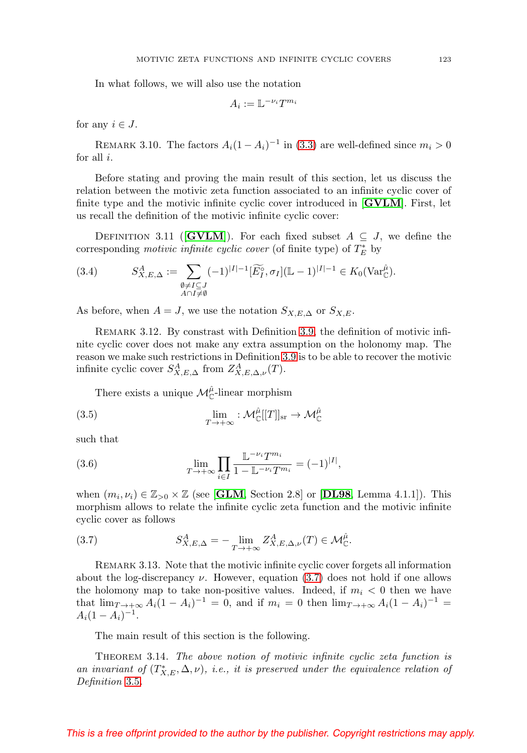In what follows, we will also use the notation

$$
A_i := \mathbb{L}^{-\nu_i} T^{m_i}
$$

for any  $i \in J$ .

<span id="page-6-1"></span>REMARK 3.10. The factors  $A_i(1 - A_i)^{-1}$  in [\(3.3\)](#page-5-0) are well-defined since  $m_i > 0$ for all i.

Before stating and proving the main result of this section, let us discuss the relation between the motivic zeta function associated to an infinite cyclic cover of finite type and the motivic infinite cyclic cover introduced in [**[GVLM](#page-23-7)**]. First, let us recall the definition of the motivic infinite cyclic cover:

<span id="page-6-5"></span>DEFINITION 3.11 ( $[\text{GVLM}]$  $[\text{GVLM}]$  $[\text{GVLM}]$ ). For each fixed subset  $A \subseteq J$ , we define the corresponding *motivic infinite cyclic cover* (of finite type) of  $T_E^*$  by

(3.4) 
$$
S_{X,E,\Delta}^A := \sum_{\substack{\emptyset \neq I \subseteq J \\ A \cap I \neq \emptyset}} (-1)^{|I|-1} [\widetilde{E}_I^{\circ}, \sigma_I] (\mathbb{L} - 1)^{|I|-1} \in K_0(\text{Var}_{\mathbb{C}}^{\hat{\mu}}).
$$

As before, when  $A = J$ , we use the notation  $S_{X,E,\Delta}$  or  $S_{X,E}$ .

Remark 3.12. By constrast with Definition [3.9,](#page-5-1) the definition of motivic infinite cyclic cover does not make any extra assumption on the holonomy map. The reason we make such restrictions in Definition [3.9](#page-5-1) is to be able to recover the motivic infinite cyclic cover  $S^A_{X,E,\Delta}$  from  $Z^A_{X,E,\Delta,\nu}(T)$ .

There exists a unique  $\mathcal{M}_{\mathbb{C}}^{\hat{\mu}}$ -linear morphism

<span id="page-6-4"></span>(3.5) 
$$
\lim_{T \to +\infty} : \mathcal{M}^{\hat{\mu}}_{\mathbb{C}}[[T]]_{\text{sr}} \to \mathcal{M}^{\hat{\mu}}_{\mathbb{C}}
$$

such that

(3.6) 
$$
\lim_{T \to +\infty} \prod_{i \in I} \frac{\mathbb{L}^{-\nu_i} T^{m_i}}{1 - \mathbb{L}^{-\nu_i} T^{m_i}} = (-1)^{|I|},
$$

when  $(m_i, \nu_i) \in \mathbb{Z}_{>0} \times \mathbb{Z}$  (see [**[GLM](#page-23-11)**, Section 2.8] or [**[DL98](#page-23-12)**, Lemma 4.1.1]). This morphism allows to relate the infinite cyclic zeta function and the motivic infinite cyclic cover as follows

<span id="page-6-3"></span>(3.7) 
$$
S_{X,E,\Delta}^A = -\lim_{T \to +\infty} Z_{X,E,\Delta,\nu}^A(T) \in \mathcal{M}_{\mathbb{C}}^{\hat{\mu}}.
$$

<span id="page-6-2"></span>REMARK 3.13. Note that the motivic infinite cyclic cover forgets all information about the log-discrepancy  $\nu$ . However, equation [\(3.7\)](#page-6-3) does not hold if one allows the holomony map to take non-positive values. Indeed, if  $m_i < 0$  then we have that  $\lim_{T\to+\infty} A_i(1-A_i)^{-1} = 0$ , and if  $m_i = 0$  then  $\lim_{T\to+\infty} A_i(1-A_i)^{-1} =$  $A_i(1 - A_i)^{-1}.$ 

The main result of this section is the following.

<span id="page-6-0"></span>THEOREM 3.14. The above notion of motivic infinite cyclic zeta function is an invariant of  $(T^*_{X,E}, \Delta, \nu)$ , i.e., it is preserved under the equivalence relation of Definition [3.5](#page-5-2).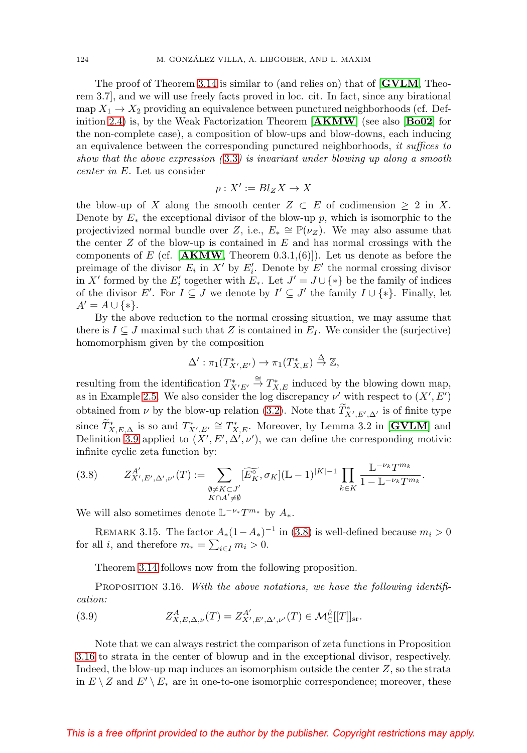The proof of Theorem [3.14](#page-6-0) is similar to (and relies on) that of [**[GVLM](#page-23-7)**, Theorem 3.7], and we will use freely facts proved in loc. cit. In fact, since any birational map  $X_1 \rightarrow X_2$  providing an equivalence between punctured neighborhoods (cf. Definition [2.4\)](#page-2-1) is, by the Weak Factorization Theorem [**[AKMW](#page-22-0)**] (see also [**[Bo02](#page-22-1)**] for the non-complete case), a composition of blow-ups and blow-downs, each inducing an equivalence between the corresponding punctured neighborhoods, it suffices to show that the above expression  $(3.3)$  $(3.3)$  $(3.3)$  is invariant under blowing up along a smooth center in E. Let us consider

$$
p:X':=Bl_ZX\to X
$$

the blow-up of X along the smooth center  $Z \subset E$  of codimension  $\geq 2$  in X. Denote by  $E_*$  the exceptional divisor of the blow-up p, which is isomorphic to the projectivized normal bundle over Z, i.e.,  $E_* \cong \mathbb{P}(\nu_Z)$ . We may also assume that the center  $Z$  of the blow-up is contained in  $E$  and has normal crossings with the components of E (cf.  $[{\bf AKMW}, {\rm Theorem 0.3.1}, 6)]$  $[{\bf AKMW}, {\rm Theorem 0.3.1}, 6)]$  $[{\bf AKMW}, {\rm Theorem 0.3.1}, 6)]$ ). Let us denote as before the preimage of the divisor  $E_i$  in  $X'$  by  $E'_i$ . Denote by  $E'$  the normal crossing divisor in X' formed by the  $E'_i$  together with  $E_*$ . Let  $J' = J \cup \{*\}$  be the family of indices of the divisor E'. For  $I \subseteq J$  we denote by  $I' \subseteq J'$  the family  $I \cup \{*\}$ . Finally, let  $A' = A \cup \{*\}.$ 

By the above reduction to the normal crossing situation, we may assume that there is  $I \subseteq J$  maximal such that Z is contained in  $E_I$ . We consider the (surjective) homomorphism given by the composition

$$
\Delta': \pi_1(T^*_{X',E'}) \to \pi_1(T^*_{X,E}) \stackrel{\Delta}{\to} \mathbb{Z},
$$

resulting from the identification  $T^*_{X'E'} \stackrel{\cong}{\to} T^*_{X,E}$  induced by the blowing down map, as in Example [2.5.](#page-2-0) We also consider the log discrepancy  $\nu'$  with respect to  $(X', E')$ obtained from  $\nu$  by the blow-up relation [\(3.2\)](#page-4-0). Note that  $\widetilde{T}_{X',E',\Delta'}^*$  is of finite type since  $\widetilde{T}_{X,E,\Delta}^*$  is so and  $T_{X',E'}^* \cong T_{X,E}^*$ . Moreover, by Lemma 3.2 in [**[GVLM](#page-23-7)**] and Definition [3.9](#page-5-1) applied to  $(X', E', \Delta', \nu')$ , we can define the corresponding motivic infinite cyclic zeta function by:

<span id="page-7-1"></span>(3.8) 
$$
Z_{X',E',\Delta',\nu'}^{A'}(T) := \sum_{\substack{\emptyset \neq K \subset J' \\ K \cap A' \neq \emptyset}} [\widetilde{E_K^{\circ}}, \sigma_K](\mathbb{L} - 1)^{|K|-1} \prod_{k \in K} \frac{\mathbb{L}^{-\nu_k} T^{m_k}}{1 - \mathbb{L}^{-\nu_k} T^{m_k}}.
$$

We will also sometimes denote  $\mathbb{L}^{-\nu_*}T^{m_*}$  by  $A_*$ .

<span id="page-7-0"></span>REMARK 3.15. The factor  $A_*(1-A_*)^{-1}$  in [\(3.8\)](#page-7-1) is well-defined because  $m_i > 0$ for all *i*, and therefore  $m_* = \sum_{i \in I} m_i > 0$ .

Theorem [3.14](#page-6-0) follows now from the following proposition.

<span id="page-7-2"></span>PROPOSITION 3.16. With the above notations, we have the following identification:

<span id="page-7-3"></span>(3.9) 
$$
Z_{X,E,\Delta,\nu}^A(T) = Z_{X',E',\Delta',\nu'}^{A'}(T) \in \mathcal{M}_{\mathbb{C}}^{\hat{\mu}}[[T]]_{\text{sr}}.
$$

Note that we can always restrict the comparison of zeta functions in Proposition [3.16](#page-7-2) to strata in the center of blowup and in the exceptional divisor, respectively. Indeed, the blow-up map induces an isomorphism outside the center  $Z$ , so the strata in  $E \setminus Z$  and  $E' \setminus E_*$  are in one-to-one isomorphic correspondence; moreover, these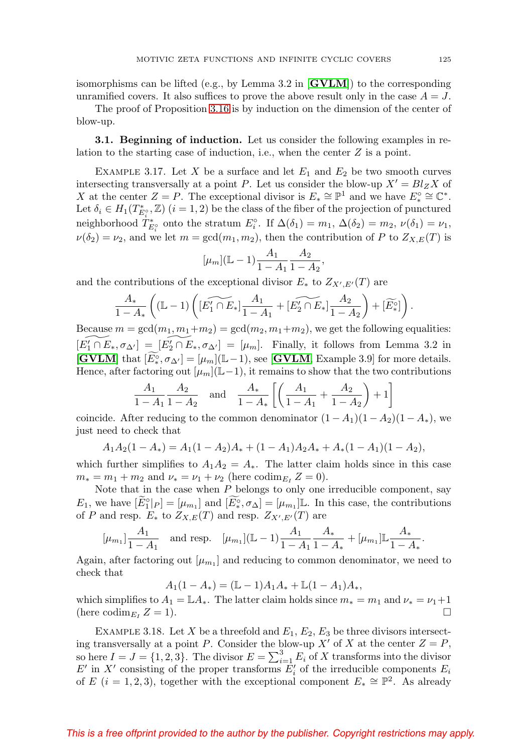isomorphisms can be lifted (e.g., by Lemma 3.2 in [**[GVLM](#page-23-7)**]) to the corresponding unramified covers. It also suffices to prove the above result only in the case  $A = J$ .

The proof of Proposition [3.16](#page-7-2) is by induction on the dimension of the center of blow-up.

**3.1. Beginning of induction.** Let us consider the following examples in relation to the starting case of induction, i.e., when the center  $Z$  is a point.

<span id="page-8-0"></span>EXAMPLE 3.17. Let X be a surface and let  $E_1$  and  $E_2$  be two smooth curves intersecting transversally at a point P. Let us consider the blow-up  $X' = Bl_Z X$  of X at the center  $Z = P$ . The exceptional divisor is  $E_* \cong \mathbb{P}^1$  and we have  $E_*^{\circ} \cong \mathbb{C}^*$ . Let  $\delta_i \in H_1(T^*_{E_i^{\circ}}, \mathbb{Z})$   $(i = 1, 2)$  be the class of the fiber of the projection of punctured neighborhood  $\dot{T}_{E_i^{\circ}}^*$  onto the stratum  $E_i^{\circ}$ . If  $\Delta(\delta_1) = m_1$ ,  $\Delta(\delta_2) = m_2$ ,  $\nu(\delta_1) = \nu_1$ ,  $\nu(\delta_2) = \nu_2$ , and we let  $m = \gcd(m_1, m_2)$ , then the contribution of P to  $Z_{X,E}(T)$  is

$$
[\mu_m](\mathbb{L}-1)\frac{A_1}{1-A_1}\frac{A_2}{1-A_2}
$$

,

and the contributions of the exceptional divisor  $E_*$  to  $Z_{X',E'}(T)$  are

$$
\frac{A_*}{1-A_*}\left((\mathbb{L}-1)\left([\widetilde{E_1'\cap E_*}]\frac{A_1}{1-A_1} + [\widetilde{E_2'\cap E_*}]\frac{A_2}{1-A_2}\right) + [\widetilde{E_*^{\circ}}]\right).
$$

Because  $m = \gcd(m_1, m_1+m_2) = \gcd(m_2, m_1+m_2)$ , we get the following equalities:  $[E'_1 \cap E_*, \sigma_{\Delta'}] = [E'_2 \cap E_*, \sigma_{\Delta'}] = [\mu_m]$ . Finally, it follows from Lemma 3.2 in  $[\mathbf{GVLM}]$  $[\mathbf{GVLM}]$  $[\mathbf{GVLM}]$  that  $[E^{\circ}, \sigma_{\Delta'}] = [\mu_m] (\mathbb{L} - 1)$ , see  $[\mathbf{GVLM}]$ , Example 3.9] for more details. Hence, after factoring out  $[\mu_m](\mathbb{L}-1)$ , it remains to show that the two contributions

$$
\frac{A_1}{1 - A_1} \frac{A_2}{1 - A_2} \quad \text{and} \quad \frac{A_*}{1 - A_*} \left[ \left( \frac{A_1}{1 - A_1} + \frac{A_2}{1 - A_2} \right) + 1 \right]
$$

coincide. After reducing to the common denominator  $(1 - A_1)(1 - A_2)(1 - A_*)$ , we just need to check that

$$
A_1 A_2 (1 - A_*) = A_1 (1 - A_2) A_* + (1 - A_1) A_2 A_* + A_*(1 - A_1) (1 - A_2),
$$

which further simplifies to  $A_1A_2 = A_*$ . The latter claim holds since in this case  $m_* = m_1 + m_2$  and  $\nu_* = \nu_1 + \nu_2$  (here  $\mathrm{codim}_{E_I} Z = 0$ ).

Note that in the case when  $P$  belongs to only one irreducible component, say  $E_1$ , we have  $[\tilde{E}_1^{\circ}]_P] = [\mu_{m_1}]$  and  $[\tilde{E}_*^{\circ}, \sigma_{\Delta}] = [\mu_{m_1}] \mathbb{L}$ . In this case, the contributions of P and resp.  $E_*$  to  $Z_{X,E}(T)$  and resp.  $Z_{X',E'}(T)$  are

$$
[\mu_{m_1}] \frac{A_1}{1 - A_1} \quad \text{and resp.} \quad [\mu_{m_1}] (\mathbb{L} - 1) \frac{A_1}{1 - A_1} \frac{A_*}{1 - A_*} + [\mu_{m_1}] \mathbb{L} \frac{A_*}{1 - A_*}.
$$

Again, after factoring out  $[\mu_{m_1}]$  and reducing to common denominator, we need to check that

$$
A_1(1 - A_*) = (\mathbb{L} - 1)A_1A_* + \mathbb{L}(1 - A_1)A_*,
$$

which simplifies to  $A_1 = \mathbb{L}A_*$ . The latter claim holds since  $m_* = m_1$  and  $\nu_* = \nu_1 + 1$ (here  $\operatorname{codim}_{E_I} Z = 1$ ).

EXAMPLE 3.18. Let X be a threefold and  $E_1, E_2, E_3$  be three divisors intersecting transversally at a point P. Consider the blow-up  $X'$  of X at the center  $Z = P$ , so here  $I = J = \{1, 2, 3\}$ . The divisor  $E = \sum_{i=1}^{3} E_i$  of X transforms into the divisor  $E'$  in  $X'$  consisting of the proper transforms  $E'_i$  of the irreducible components  $E_i$ of E (i = 1, 2, 3), together with the exceptional component  $E_* \cong \mathbb{P}^2$ . As already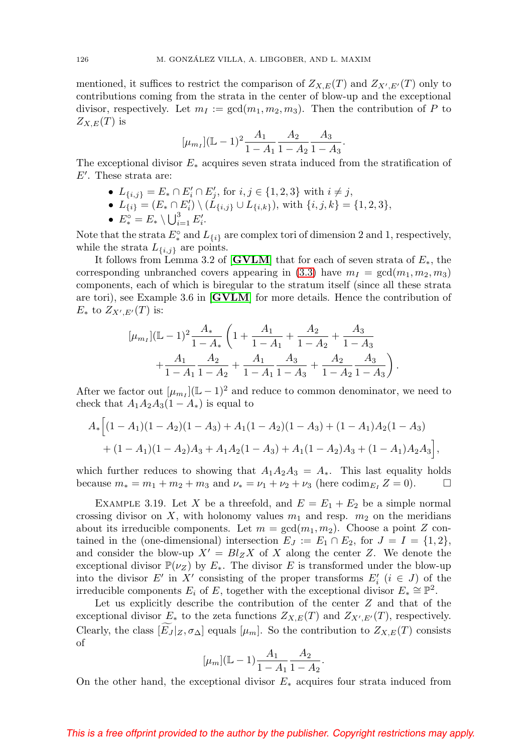mentioned, it suffices to restrict the comparison of  $Z_{X,E}(T)$  and  $Z_{X',E'}(T)$  only to contributions coming from the strata in the center of blow-up and the exceptional divisor, respectively. Let  $m_I := \gcd(m_1, m_2, m_3)$ . Then the contribution of P to  $Z_{X,E}(T)$  is

$$
[\mu_{m_I}](\mathbb{L}-1)^2 \frac{A_1}{1-A_1} \frac{A_2}{1-A_2} \frac{A_3}{1-A_3}.
$$

The exceptional divisor  $E_*$  acquires seven strata induced from the stratification of  $E'$ . These strata are:

- $L_{\{i,j\}} = E_* \cap E'_i \cap E'_j$ , for  $i, j \in \{1, 2, 3\}$  with  $i \neq j$ ,
- $L_{\{i\}} = (E_* \cap E'_i) \setminus (\tilde{L}_{\{i,j\}} \cup L_{\{i,k\}}),$  with  $\{i, j, k\} = \{1, 2, 3\},$
- $E_*^{\circ} = E_* \setminus \bigcup_{i=1}^3 E'_i$ .

Note that the strata  $E^{\circ}_*$  and  $L_{\{i\}}$  are complex tori of dimension 2 and 1, respectively, while the strata  $L_{\{i,j\}}$  are points.

It follows from Lemma 3.2 of  $[\text{GVLM}]$  $[\text{GVLM}]$  $[\text{GVLM}]$  that for each of seven strata of  $E_*,$  the corresponding unbranched covers appearing in [\(3.3\)](#page-5-0) have  $m_I = \text{gcd}(m_1, m_2, m_3)$ components, each of which is biregular to the stratum itself (since all these strata are tori), see Example 3.6 in [**[GVLM](#page-23-7)**] for more details. Hence the contribution of  $E_*$  to  $Z_{X',E'}(T)$  is:

$$
[\mu_{m_I}](\mathbb{L} - 1)^2 \frac{A_*}{1 - A_*} \left( 1 + \frac{A_1}{1 - A_1} + \frac{A_2}{1 - A_2} + \frac{A_3}{1 - A_3} + \frac{A_1}{1 - A_1} \frac{A_2}{1 - A_2} + \frac{A_1}{1 - A_1} \frac{A_3}{1 - A_3} + \frac{A_2}{1 - A_2} \frac{A_3}{1 - A_3} \right)
$$

.

After we factor out  $[\mu_{m_I}](\mathbb{L} - 1)^2$  and reduce to common denominator, we need to check that  $A_1A_2A_3(1-A_*)$  is equal to

$$
A_*\Big[(1-A_1)(1-A_2)(1-A_3)+A_1(1-A_2)(1-A_3)+(1-A_1)A_2(1-A_3)+(1-A_1)(1-A_2)A_3+A_1A_2(1-A_3)+A_1(1-A_2)A_3+(1-A_1)A_2A_3\Big],
$$

which further reduces to showing that  $A_1A_2A_3 = A_*$ . This last equality holds because  $m_* = m_1 + m_2 + m_3$  and  $\nu_* = \nu_1 + \nu_2 + \nu_3$  (here  $\text{codim}_{E_I} Z = 0$ ).  $\Box$ 

EXAMPLE 3.19. Let X be a threefold, and  $E = E_1 + E_2$  be a simple normal crossing divisor on X, with holonomy values  $m_1$  and resp.  $m_2$  on the meridians about its irreducible components. Let  $m = \gcd(m_1, m_2)$ . Choose a point Z contained in the (one-dimensional) intersection  $E_J := E_1 \cap E_2$ , for  $J = I = \{1, 2\}$ , and consider the blow-up  $X' = Bl_Z X$  of X along the center Z. We denote the exceptional divisor  $\mathbb{P}(\nu_Z)$  by  $E_*$ . The divisor E is transformed under the blow-up into the divisor E' in X' consisting of the proper transforms  $E'_i$  ( $i \in J$ ) of the irreducible components  $E_i$  of E, together with the exceptional divisor  $E_* \cong \mathbb{P}^2$ .

Let us explicitly describe the contribution of the center  $Z$  and that of the exceptional divisor  $E_*$  to the zeta functions  $Z_{X,E}(T)$  and  $Z_{X',E'}(T)$ , respectively. Clearly, the class  $[E_J|_Z, \sigma_{\Delta}]$  equals  $[\mu_m]$ . So the contribution to  $Z_{X,E}(T)$  consists of

$$
[\mu_m](\mathbb{L}-1)\frac{A_1}{1-A_1}\frac{A_2}{1-A_2}.
$$

On the other hand, the exceptional divisor  $E_*$  acquires four strata induced from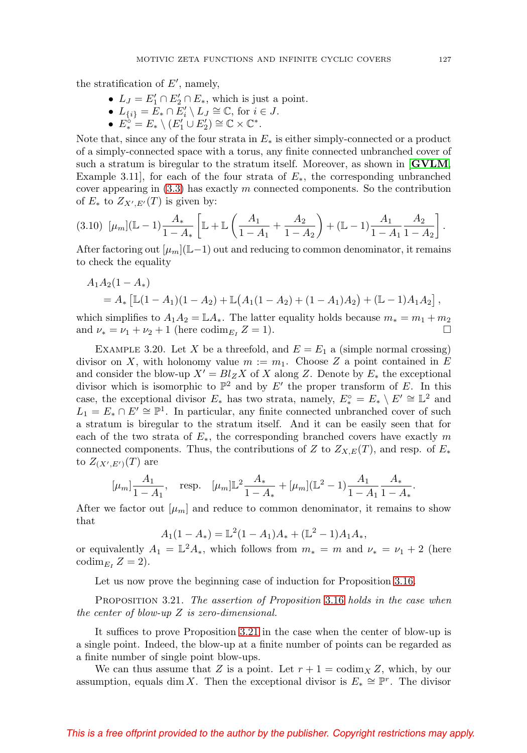the stratification of  $E'$ , namely,

- $L_J = E'_1 \cap E'_2 \cap E_*$ , which is just a point.
- $L_{\{i\}} = \overline{E}_* \cap \overline{E}'_i \setminus L_J \cong \mathbb{C}$ , for  $i \in J$ .
- $E_*^{\circ} = E_* \setminus (E_1' \cup E_2') \cong \mathbb{C} \times \mathbb{C}^*.$

Note that, since any of the four strata in  $E_*$  is either simply-connected or a product of a simply-connected space with a torus, any finite connected unbranched cover of such a stratum is biregular to the stratum itself. Moreover, as shown in [**[GVLM](#page-23-7)**, Example 3.11], for each of the four strata of  $E_{\ast}$ , the corresponding unbranched cover appearing in  $(3.3)$  has exactly m connected components. So the contribution of  $E_*$  to  $Z_{X',E'}(T)$  is given by:

$$
(3.10) \ \left[\mu_m\right] (\mathbb{L} - 1) \frac{A_*}{1 - A_*} \left[\mathbb{L} + \mathbb{L} \left(\frac{A_1}{1 - A_1} + \frac{A_2}{1 - A_2}\right) + (\mathbb{L} - 1) \frac{A_1}{1 - A_1} \frac{A_2}{1 - A_2}\right].
$$

After factoring out  $[\mu_m](\mathbb{L}-1)$  out and reducing to common denominator, it remains to check the equality

$$
A_1 A_2 (1 - A_*)
$$
  
=  $A_* [\mathbb{L}(1 - A_1)(1 - A_2) + \mathbb{L}(A_1(1 - A_2) + (1 - A_1)A_2) + (\mathbb{L} - 1)A_1A_2],$ 

which simplifies to  $A_1A_2 = \mathbb{L}A_*$ . The latter equality holds because  $m_* = m_1 + m_2$ and  $\nu_* = \nu_1 + \nu_2 + 1$  (here codim<sub>E</sub>,  $Z = 1$ ).

EXAMPLE 3.20. Let X be a threefold, and  $E = E_1$  a (simple normal crossing) divisor on X, with holonomy value  $m := m_1$ . Choose Z a point contained in E and consider the blow-up  $X' = Bl_Z X$  of X along Z. Denote by  $E_*$  the exceptional divisor which is isomorphic to  $\mathbb{P}^2$  and by E' the proper transform of E. In this case, the exceptional divisor  $E_*$  has two strata, namely,  $E_*^{\circ} = E_* \setminus E' \cong \mathbb{L}^2$  and  $L_1 = E_* \cap E' \cong \mathbb{P}^1$ . In particular, any finite connected unbranched cover of such a stratum is biregular to the stratum itself. And it can be easily seen that for each of the two strata of  $E_{*}$ , the corresponding branched covers have exactly m connected components. Thus, the contributions of Z to  $Z_{X,E}(T)$ , and resp. of  $E_*$ to  $Z_{(X',E')}$  (T) are

$$
[\mu_m] \frac{A_1}{1 - A_1}
$$
, resp.  $[\mu_m] \mathbb{L}^2 \frac{A_*}{1 - A_*} + [\mu_m] (\mathbb{L}^2 - 1) \frac{A_1}{1 - A_1} \frac{A_*}{1 - A_*}.$ 

After we factor out  $[\mu_m]$  and reduce to common denominator, it remains to show that

$$
A_1(1 - A_*) = \mathbb{L}^2(1 - A_1)A_* + (\mathbb{L}^2 - 1)A_1A_*,
$$

or equivalently  $A_1 = \mathbb{L}^2 A_*$ , which follows from  $m_* = m$  and  $\nu_* = \nu_1 + 2$  (here  $\operatorname{codim}_{E_I} Z = 2$ ).

Let us now prove the beginning case of induction for Proposition [3.16.](#page-7-2)

<span id="page-10-0"></span>PROPOSITION 3.21. The assertion of Proposition [3.16](#page-7-2) holds in the case when the center of blow-up Z is zero-dimensional.

It suffices to prove Proposition [3.21](#page-10-0) in the case when the center of blow-up is a single point. Indeed, the blow-up at a finite number of points can be regarded as a finite number of single point blow-ups.

We can thus assume that Z is a point. Let  $r + 1 = \text{codim}_X Z$ , which, by our assumption, equals dim X. Then the exceptional divisor is  $E_* \cong \mathbb{P}^r$ . The divisor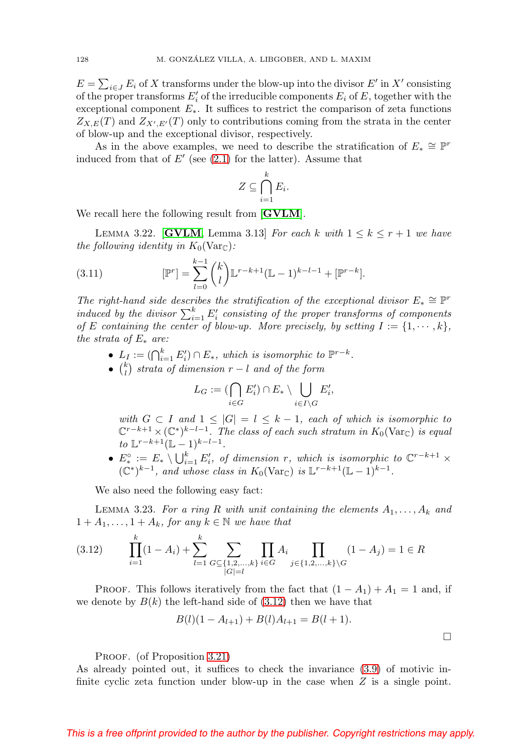$E = \sum_{i \in J} E_i$  of X transforms under the blow-up into the divisor E' in X' consisting of the proper transforms  $E_i'$  of the irreducible components  $E_i$  of  $E$ , together with the exceptional component  $E_{*}$ . It suffices to restrict the comparison of zeta functions  $Z_{X,E}(T)$  and  $Z_{X',E'}(T)$  only to contributions coming from the strata in the center of blow-up and the exceptional divisor, respectively.

As in the above examples, we need to describe the stratification of  $E_* \cong \mathbb{P}^r$ induced from that of  $E'$  (see [\(2.1\)](#page-1-3) for the latter). Assume that

$$
Z \subseteq \bigcap_{i=1}^k E_i.
$$

We recall here the following result from [**[GVLM](#page-23-7)**].

<span id="page-11-1"></span>LEMMA 3.22. **[[GVLM](#page-23-7)**, Lemma 3.13] For each k with  $1 \leq k \leq r+1$  we have the following identity in  $K_0(\text{Var}_{\mathbb{C}})$ :

(3.11) 
$$
[\mathbb{P}^r] = \sum_{l=0}^{k-1} {k \choose l} \mathbb{L}^{r-k+1} (\mathbb{L} - 1)^{k-l-1} + [\mathbb{P}^{r-k}].
$$

The right-hand side describes the stratification of the exceptional divisor  $E_* \cong \mathbb{P}^r$ induced by the divisor  $\sum_{i=1}^{k} E'_i$  consisting of the proper transforms of components of E containing the center of blow-up. More precisely, by setting  $I := \{1, \dots, k\},\$ the strata of  $E_*$  are:

- $L_I := (\bigcap_{i=1}^k E'_i) \cap E_*,$  which is isomorphic to  $\mathbb{P}^{r-k}$ .
- $\binom{k}{l}$  strata of dimension  $r l$  and of the form

$$
L_G := (\bigcap_{i \in G} E'_i) \cap E_* \setminus \bigcup_{i \in I \setminus G} E'_i,
$$

with  $G \subset I$  and  $1 \leq |G| = l \leq k - 1$ , each of which is isomorphic to  $\mathbb{C}^{r-k+1}\times(\mathbb{C}^*)^{k-l-1}$ . The class of each such stratum in  $K_0(\text{Var}_{\mathbb{C}})$  is equal to  $\mathbb{L}^{r-k+1}(\mathbb{L} - 1)^{k-l-1}$ .

•  $E_*^{\circ} := E_* \setminus \bigcup_{i=1}^k E'_i$ , of dimension r, which is isomorphic to  $\mathbb{C}^{r-k+1}$  ×  $(\mathbb{C}^*)^{k-1}$ , and whose class in  $K_0(\text{Var}_{\mathbb{C}})$  is  $\mathbb{L}^{r-k+1}(\mathbb{L}-1)^{k-1}$ .

We also need the following easy fact:

<span id="page-11-2"></span>LEMMA 3.23. For a ring R with unit containing the elements  $A_1, \ldots, A_k$  and  $1 + A_1, \ldots, 1 + A_k$ , for any  $k \in \mathbb{N}$  we have that

<span id="page-11-0"></span>
$$
(3.12) \qquad \prod_{i=1}^{k} (1 - A_i) + \sum_{l=1}^{k} \sum_{\substack{G \subseteq \{1, 2, \dots, k\} \\ |G| = l}} \prod_{i \in G} A_i \prod_{j \in \{1, 2, \dots, k\} \setminus G} (1 - A_j) = 1 \in R
$$

PROOF. This follows iteratively from the fact that  $(1 - A_1) + A_1 = 1$  and, if we denote by  $B(k)$  the left-hand side of  $(3.12)$  then we have that

$$
B(l)(1 - A_{l+1}) + B(l)A_{l+1} = B(l+1).
$$

 $\Box$ 

PROOF. (of Proposition [3.21\)](#page-10-0)

As already pointed out, it suffices to check the invariance [\(3.9\)](#page-7-3) of motivic infinite cyclic zeta function under blow-up in the case when  $Z$  is a single point.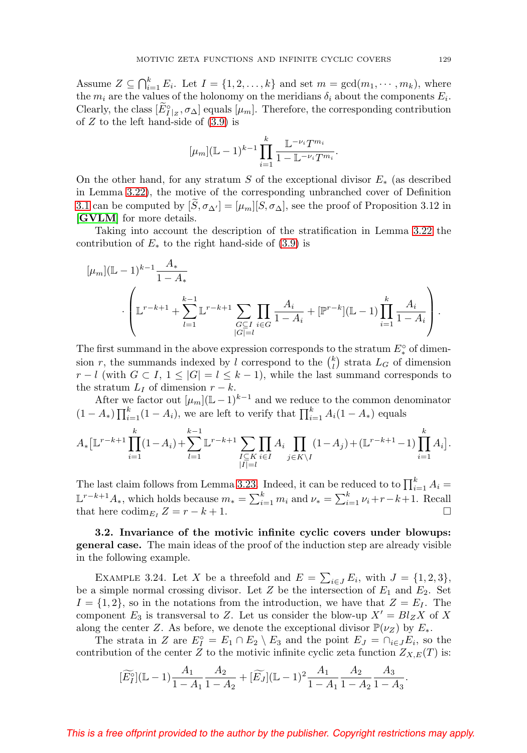Assume  $Z \subseteq \bigcap_{i=1}^k E_i$ . Let  $I = \{1, 2, ..., k\}$  and set  $m = \gcd(m_1, \dots, m_k)$ , where the  $m_i$  are the values of the holonomy on the meridians  $\delta_i$  about the components  $E_i$ . Clearly, the class  $[\tilde{E}_{\parallel z}^{\circ}, \sigma_{\Delta}]$  equals  $[\mu_m]$ . Therefore, the corresponding contribution of  $Z$  to the left hand-side of  $(3.9)$  is

$$
[\mu_m](\mathbb{L}-1)^{k-1}\prod_{i=1}^k \frac{\mathbb{L}^{-\nu_i}T^{m_i}}{1-\mathbb{L}^{-\nu_i}T^{m_i}}.
$$

On the other hand, for any stratum S of the exceptional divisor  $E_{*}$  (as described in Lemma [3.22\)](#page-11-1), the motive of the corresponding unbranched cover of Definition [3.1](#page-3-1) can be computed by  $[\tilde{S}, \sigma_{\Delta'}] = [\mu_m][S, \sigma_{\Delta}]$ , see the proof of Proposition 3.12 in [**[GVLM](#page-23-7)**] for more details.

Taking into account the description of the stratification in Lemma [3.22](#page-11-1) the contribution of  $E_*$  to the right hand-side of [\(3.9\)](#page-7-3) is

$$
[\mu_m](\mathbb{L} - 1)^{k-1} \frac{A_*}{1 - A_*} \left\{ \mathbb{L}^{r-k+1} + \sum_{l=1}^{k-1} \mathbb{L}^{r-k+1} \sum_{\substack{G \subseteq I \\ |G| = l}} \prod_{i \in G} \frac{A_i}{1 - A_i} + [\mathbb{P}^{r-k}](\mathbb{L} - 1) \prod_{i=1}^k \frac{A_i}{1 - A_i} \right\}.
$$

The first summand in the above expression corresponds to the stratum  $E_*^{\circ}$  of dimension r, the summands indexed by l correspond to the  $\binom{k}{l}$  strata  $L_G$  of dimension  $r - l$  (with  $G \subset I$ ,  $1 \leq |G| = l \leq k - 1$ ), while the last summand corresponds to the stratum  $L_I$  of dimension  $r - k$ .

After we factor out  $[\mu_m](\mathbb{L} - 1)^{k-1}$  and we reduce to the common denominator  $(1-A_*)\prod_{i=1}^k(1-A_i)$ , we are left to verify that  $\prod_{i=1}^kA_i(1-A_*)$  equals

$$
A_*\left[\mathbb{L}^{r-k+1}\prod_{i=1}^k(1-A_i)+\sum_{l=1}^{k-1}\mathbb{L}^{r-k+1}\sum_{\substack{I\subseteq K\\|I|=l}}\prod_{i\in I}A_i\prod_{j\in K\setminus I}(1-A_j)+(\mathbb{L}^{r-k+1}-1)\prod_{i=1}^kA_i\right].
$$

The last claim follows from Lemma [3.23.](#page-11-2) Indeed, it can be reduced to to  $\prod_{i=1}^{k} A_i =$  $\mathbb{L}^{r-k+1}A_*$ , which holds because  $m_* = \sum_{i=1}^k m_i$  and  $\nu_* = \sum_{i=1}^k \nu_i + r - k + 1$ . Recall that here  $\operatorname{codim}_{E_I} Z = r - k + 1$ .

**3.2. Invariance of the motivic infinite cyclic covers under blowups: general case.** The main ideas of the proof of the induction step are already visible in the following example.

EXAMPLE 3.24. Let X be a threefold and  $E = \sum_{i \in J} E_i$ , with  $J = \{1, 2, 3\}$ , be a simple normal crossing divisor. Let Z be the intersection of  $E_1$  and  $E_2$ . Set  $I = \{1, 2\}$ , so in the notations from the introduction, we have that  $Z = E_I$ . The component  $E_3$  is transversal to Z. Let us consider the blow-up  $X' = Bl_Z X$  of X along the center Z. As before, we denote the exceptional divisor  $\mathbb{P}(\nu_Z)$  by  $E_*$ .

The strata in Z are  $E_I^{\circ} = E_1 \cap E_2 \setminus E_3$  and the point  $E_J = \cap_{i \in J} E_i$ , so the contribution of the center Z to the motivic infinite cyclic zeta function  $Z_{X,E}(T)$  is:

$$
[\widetilde{E}_I^{\circ}](\mathbb{L}-1)\frac{A_1}{1-A_1}\frac{A_2}{1-A_2} + [\widetilde{E}_J](\mathbb{L}-1)^2\frac{A_1}{1-A_1}\frac{A_2}{1-A_2}\frac{A_3}{1-A_3}.
$$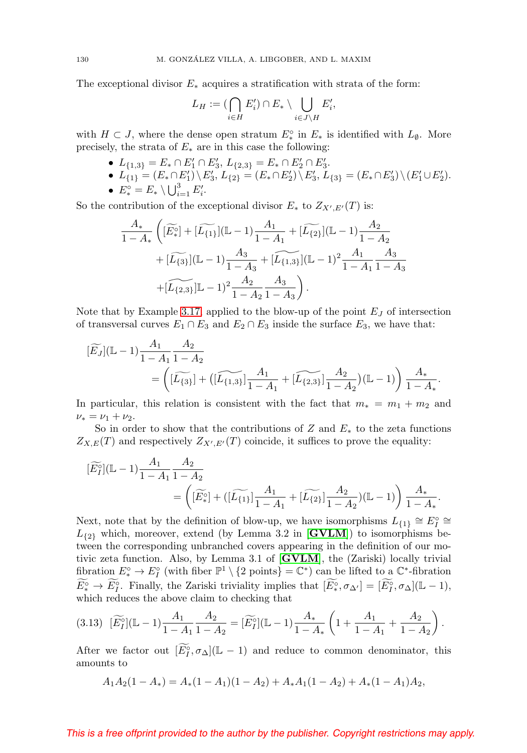The exceptional divisor  $E_*$  acquires a stratification with strata of the form:

$$
L_H := (\bigcap_{i \in H} E'_i) \cap E_* \setminus \bigcup_{i \in J \setminus H} E'_i,
$$

with  $H \subset J$ , where the dense open stratum  $E^{\circ}_*$  in  $E_*$  is identified with  $L_{\emptyset}$ . More precisely, the strata of  $E_*$  are in this case the following:

- $L_{\{1,3\}} = E_* \cap E'_1 \cap E'_3$ ,  $L_{\{2,3\}} = E_* \cap E'_2 \cap E'_3$ .
- $L_{\{1\}} = (E_* \cap E_1') \setminus E_3', L_{\{2\}} = (E_* \cap E_2') \setminus E_3', L_{\{3\}} = (E_* \cap E_3') \setminus (E_1' \cup E_2').$

• 
$$
E_*^\circ = E_* \setminus \bigcup_{i=1}^3 E'_i.
$$

So the contribution of the exceptional divisor  $E_*$  to  $Z_{X',E'}(T)$  is:

$$
\frac{A_{*}}{1 - A_{*}} \left( [\widetilde{E_{*}}] + [\widetilde{L_{\{1\}}}] (\mathbb{L} - 1) \frac{A_{1}}{1 - A_{1}} + [\widetilde{L_{\{2\}}}] (\mathbb{L} - 1) \frac{A_{2}}{1 - A_{2}} + [\widetilde{L_{\{3\}}}] (\mathbb{L} - 1) \frac{A_{3}}{1 - A_{3}} + [\widetilde{L_{\{1,3\}}}] (\mathbb{L} - 1)^{2} \frac{A_{1}}{1 - A_{1}} \frac{A_{3}}{1 - A_{3}} + [\widetilde{L_{\{2,3\}}}] \mathbb{L} - 1)^{2} \frac{A_{2}}{1 - A_{2}} \frac{A_{3}}{1 - A_{3}} \right).
$$

Note that by Example [3.17,](#page-8-0) applied to the blow-up of the point  $E_J$  of intersection of transversal curves  $E_1 \cap E_3$  and  $E_2 \cap E_3$  inside the surface  $E_3$ , we have that:

$$
\widetilde{[E_J]}(\mathbb{L} - 1) \frac{A_1}{1 - A_1} \frac{A_2}{1 - A_2} = \left( [\widetilde{L_{\{3\}}} ] + ([\widetilde{L_{\{1,3\}}} ] \frac{A_1}{1 - A_1} + [\widetilde{L_{\{2,3\}}} ] \frac{A_2}{1 - A_2})(\mathbb{L} - 1) \right) \frac{A_*}{1 - A_*}.
$$

In particular, this relation is consistent with the fact that  $m_* = m_1 + m_2$  and  $\nu_* = \nu_1 + \nu_2.$ 

So in order to show that the contributions of Z and  $E_*$  to the zeta functions  $Z_{X,E}(T)$  and respectively  $Z_{X',E'}(T)$  coincide, it suffices to prove the equality:

$$
\begin{aligned} [\widetilde{E_1^{\circ}}](\mathbb{L} - 1) \frac{A_1}{1 - A_1} \frac{A_2}{1 - A_2} \\ &= \left( [\widetilde{E_*^{\circ}}] + ([\widetilde{L_{\{1\}}}] \frac{A_1}{1 - A_1} + [\widetilde{L_{\{2\}}}] \frac{A_2}{1 - A_2})(\mathbb{L} - 1) \right) \frac{A_*}{1 - A_*}. \end{aligned}
$$

Next, note that by the definition of blow-up, we have isomorphisms  $L_{\{1\}} \cong E_I^{\circ} \cong$  $L_{\{2\}}$  which, moreover, extend (by Lemma 3.2 in  $[\text{GVLM}]$  $[\text{GVLM}]$  $[\text{GVLM}]$ ) to isomorphisms between the corresponding unbranched covers appearing in the definition of our motivic zeta function. Also, by Lemma 3.1 of [**[GVLM](#page-23-7)**], the (Zariski) locally trivial fibration  $E^{\circ}_* \to E^{\circ}_I$  (with fiber  $\mathbb{P}^1 \setminus \{2 \text{ points}\} = \mathbb{C}^*$ ) can be lifted to a  $\mathbb{C}^*$ -fibration  $E^{\circ}_{*} \to E^{\circ}_{I}$ . Finally, the Zariski triviality implies that  $[E^{\circ}_{*}, \sigma_{\Delta'}] = [E^{\circ}_{I}, \sigma_{\Delta}](\mathbb{L} - 1)$ , which reduces the above claim to checking that

$$
(3.13)\ \ [\widetilde{E}_I^{\circ}](\mathbb{L}-1)\frac{A_1}{1-A_1}\frac{A_2}{1-A_2} = [\widetilde{E}_I^{\circ}](\mathbb{L}-1)\frac{A_*}{1-A_*}\left(1+\frac{A_1}{1-A_1}+\frac{A_2}{1-A_2}\right).
$$

After we factor out  $[E_I^{\circ}, \sigma_{\Delta}](\mathbb{L} - 1)$  and reduce to common denominator, this amounts to

$$
A_1A_2(1-A_*) = A_*(1-A_1)(1-A_2) + A_*A_1(1-A_2) + A_*(1-A_1)A_2,
$$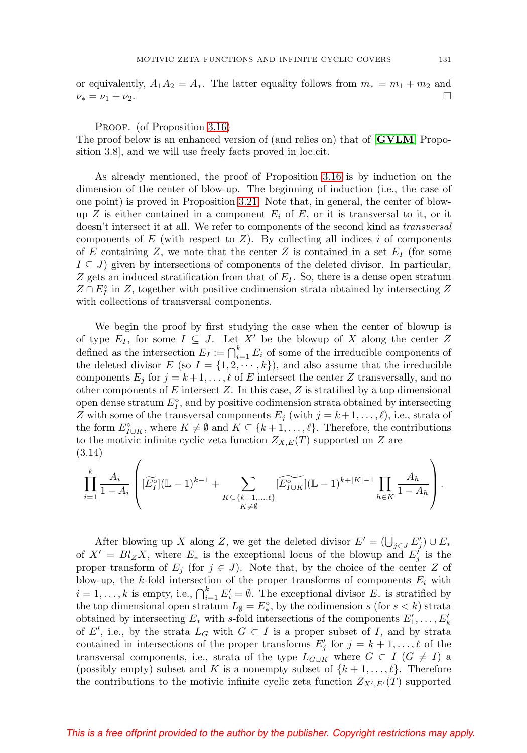or equivalently,  $A_1A_2 = A_*$ . The latter equality follows from  $m_* = m_1 + m_2$  and  $\nu_* = \nu_1 + \nu_2.$ 

PROOF. (of Proposition [3.16\)](#page-7-2)

The proof below is an enhanced version of (and relies on) that of [**[GVLM](#page-23-7)**, Proposition 3.8], and we will use freely facts proved in loc.cit.

As already mentioned, the proof of Proposition [3.16](#page-7-2) is by induction on the dimension of the center of blow-up. The beginning of induction (i.e., the case of one point) is proved in Proposition [3.21.](#page-10-0) Note that, in general, the center of blowup  $Z$  is either contained in a component  $E_i$  of  $E$ , or it is transversal to it, or it doesn't intersect it at all. We refer to components of the second kind as transversal components of  $E$  (with respect to  $Z$ ). By collecting all indices  $i$  of components of E containing Z, we note that the center Z is contained in a set  $E_I$  (for some  $I \subseteq J$ ) given by intersections of components of the deleted divisor. In particular, Z gets an induced stratification from that of  $E_I$ . So, there is a dense open stratum  $Z \cap E_I^{\circ}$  in Z, together with positive codimension strata obtained by intersecting Z with collections of transversal components.

We begin the proof by first studying the case when the center of blowup is of type  $E_I$ , for some  $I \subseteq J$ . Let X' be the blowup of X along the center Z defined as the intersection  $E_I := \bigcap_{i=1}^k E_i$  of some of the irreducible components of the deleted divisor  $E$  (so  $I = \{1, 2, \dots, k\}$ ), and also assume that the irreducible components  $E_j$  for  $j = k+1, \ldots, \ell$  of E intersect the center Z transversally, and no other components of E intersect  $Z$ . In this case,  $Z$  is stratified by a top dimensional open dense stratum  $E_I^{\circ}$ , and by positive codimension strata obtained by intersecting Z with some of the transversal components  $E_j$  (with  $j = k+1,\ldots,\ell$ ), i.e., strata of the form  $E_{I\cup K}^{\circ}$ , where  $K \neq \emptyset$  and  $K \subseteq \{k+1,\ldots,\ell\}$ . Therefore, the contributions to the motivic infinite cyclic zeta function  $Z_{X,E}(T)$  supported on Z are (3.14)

<span id="page-14-0"></span>
$$
\prod_{i=1}^{k} \frac{A_i}{1-A_i} \left( [\widetilde{E_I^{\circ}}] (\mathbb{L} - 1)^{k-1} + \sum_{\substack{K \subseteq \{k+1,\ldots,\ell\} \\ K \neq \emptyset}} [\widetilde{E_{I \cup K}^{\circ}}] (\mathbb{L} - 1)^{k+|K|-1} \prod_{h \in K} \frac{A_h}{1-A_h} \right).
$$

After blowing up X along Z, we get the deleted divisor  $E' = (\bigcup_{j \in J} E'_j) \cup E_*$ of  $X' = Bl_Z X$ , where  $E_*$  is the exceptional locus of the blowup and  $E'_j$  is the proper transform of  $E_j$  (for  $j \in J$ ). Note that, by the choice of the center Z of blow-up, the k-fold intersection of the proper transforms of components  $E_i$  with  $i = 1, \ldots, k$  is empty, i.e.,  $\bigcap_{i=1}^k E'_i = \emptyset$ . The exceptional divisor  $E_*$  is stratified by the top dimensional open stratum  $L_{\emptyset} = E^{\circ}_{*}$ , by the codimension s (for  $s < k$ ) strata obtained by intersecting  $E_*$  with s-fold intersections of the components  $E'_1, \ldots, E'_k$ of E', i.e., by the strata  $L_G$  with  $G \subset I$  is a proper subset of I, and by strata contained in intersections of the proper transforms  $E'_{j}$  for  $j = k + 1, \ldots, \ell$  of the transversal components, i.e., strata of the type  $L_{G\cup K}$  where  $G \subset I$  ( $G \neq I$ ) a (possibly empty) subset and K is a nonempty subset of  $\{k+1,\ldots,\ell\}$ . Therefore the contributions to the motivic infinite cyclic zeta function  $Z_{X',E'}(T)$  supported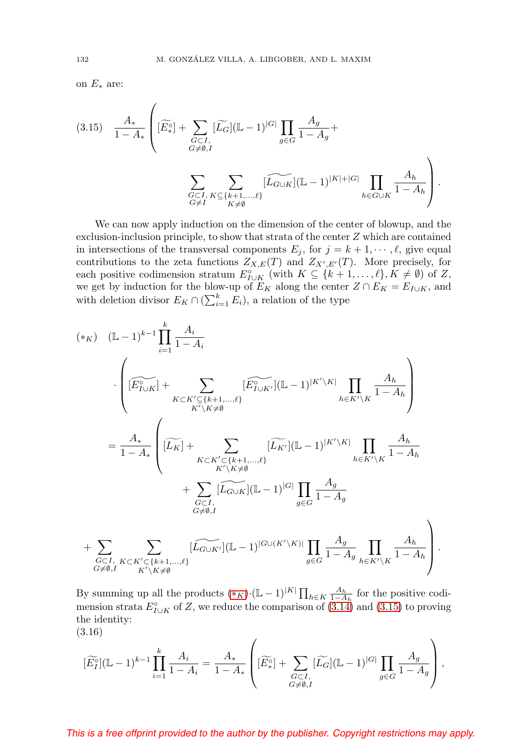on  $E_*$  are:

 $\overline{a}$ 

<span id="page-15-1"></span>
$$
(3.15) \quad \frac{A_{*}}{1 - A_{*}} \left( [\widetilde{E_{*}}] + \sum_{\substack{G \subset I, \\ G \neq \emptyset, I}} [\widetilde{L_{G}}] (\mathbb{L} - 1)^{|G|} \prod_{g \in G} \frac{A_{g}}{1 - A_{g}} + \sum_{\substack{G \subset I, \\ G \neq \emptyset, I}} \sum_{\substack{G \subset I, \\ K \neq \emptyset}} [\widetilde{L_{G \cup K}}] (\mathbb{L} - 1)^{|K| + |G|} \prod_{h \in G \cup K} \frac{A_{h}}{1 - A_{h}} \right).
$$

We can now apply induction on the dimension of the center of blowup, and the exclusion-inclusion principle, to show that strata of the center Z which are contained in intersections of the transversal components  $E_j$ , for  $j = k + 1, \dots, \ell$ , give equal contributions to the zeta functions  $Z_{X,E}(T)$  and  $Z_{X',E'}(T)$ . More precisely, for each positive codimension stratum  $E_{I\cup K}^{\circ}$  (with  $K \subseteq \{k+1,\ldots,\ell\}, K \neq \emptyset$ ) of Z, we get by induction for the blow-up of  $E_K$  along the center  $Z \cap E_K = E_{I \cup K}$ , and with deletion divisor  $E_K \cap (\sum_{i=1}^k E_i)$ , a relation of the type

<span id="page-15-0"></span>
$$
(\ast_{K}) \quad (\mathbb{L} - 1)^{k-1} \prod_{i=1}^{k} \frac{A_{i}}{1 - A_{i}}
$$
\n
$$
\cdot \left( \widetilde{E_{I \cup K}^{\circ}} \right) + \sum_{K \subset K' \subseteq \{k+1, \ldots, \ell\}} [\widetilde{E_{I \cup K'}^{\circ}}] (\mathbb{L} - 1)^{|K' \backslash K|} \prod_{h \in K' \backslash K} \frac{A_{h}}{1 - A_{h}} \right)
$$
\n
$$
= \frac{A_{*}}{1 - A_{*}} \left( [\widetilde{L_{K}}] + \sum_{\substack{K \subset K' \subseteq \{k+1, \ldots, \ell\} \\ K' \backslash K \neq \emptyset}} [\widetilde{L_{K'}}] (\mathbb{L} - 1)^{|K' \backslash K|} \prod_{h \in K' \backslash K} \frac{A_{h}}{1 - A_{h}} \right)
$$
\n
$$
+ \sum_{\substack{G \subset I, \\ G \neq \emptyset, I}} [\widetilde{L_{G \cup K}}] (\mathbb{L} - 1)^{|G|} \prod_{g \in G} \frac{A_{g}}{1 - A_{g}}
$$
\n
$$
+ \sum_{\substack{G \subset I, \\ G \neq \emptyset, I}} \sum_{K \subset K' \subseteq \{k+1, \ldots, \ell\}} [\widetilde{L_{G \cup K'}}] (\mathbb{L} - 1)^{|G \cup (K' \backslash K)|} \prod_{g \in G} \frac{A_{g}}{1 - A_{g}} \prod_{h \in K' \backslash K} \frac{A_{h}}{1 - A_{h}} \right).
$$

By summing up all the products  $(*_K)\cdot (\mathbb{L}-1)^{|K|}\prod_{h\in K}\frac{A_h}{1-A_h}$  $(*_K)\cdot (\mathbb{L}-1)^{|K|}\prod_{h\in K}\frac{A_h}{1-A_h}$  $(*_K)\cdot (\mathbb{L}-1)^{|K|}\prod_{h\in K}\frac{A_h}{1-A_h}$  for the positive codimension strata  $E_{I\cup K}^{\circ}$  of Z, we reduce the comparison of  $(3.14)$  and  $(3.15)$  to proving the identity:

<span id="page-15-2"></span>(3.16)

$$
[\widetilde{E}_I^{\circ}](\mathbb{L}-1)^{k-1} \prod_{i=1}^k \frac{A_i}{1-A_i} = \frac{A_*}{1-A_*} \left( [\widetilde{E}_*^{\circ}] + \sum_{\substack{G \subset I, \\ G \neq \emptyset, I}} [\widetilde{L_G}](\mathbb{L}-1)^{|G|} \prod_{g \in G} \frac{A_g}{1-A_g} \right),
$$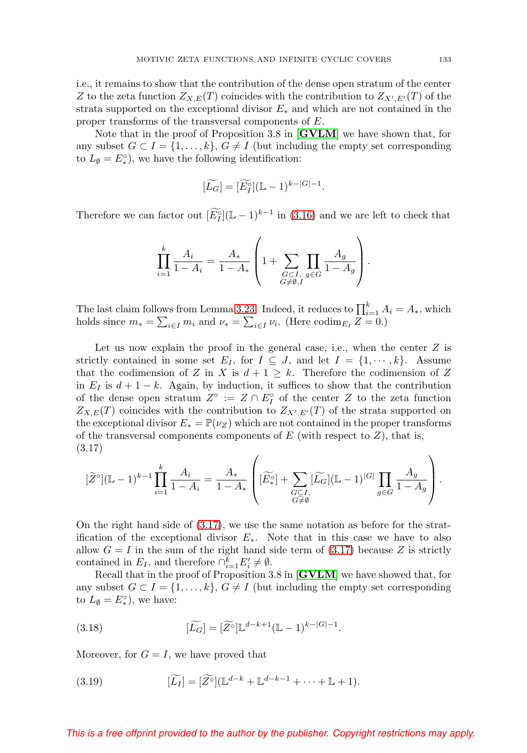i.e., it remains to show that the contribution of the dense open stratum of the center Z to the zeta function  $Z_{X,E}(T)$  coincides with the contribution to  $Z_{X',E'}(T)$  of the strata supported on the exceptional divisor  $E_*$  and which are not contained in the proper transforms of the transversal components of E.

Note that in the proof of Proposition 3.8 in [**[GVLM](#page-23-7)**] we have shown that, for any subset  $G \subset I = \{1,\ldots,k\}, G \neq I$  (but including the empty set corresponding to  $L_{\emptyset} = E^{\circ}_{*}$ , we have the following identification:

$$
[\widetilde{L_G}] = [\widetilde{E_I^{\circ}}] (\mathbb{L} - 1)^{k - |G| - 1}.
$$

Therefore we can factor out  $\left[\overline{E}_I^{\circ}\right](\mathbb{L}-1)^{k-1}$  in [\(3.16\)](#page-15-2) and we are left to check that

$$
\prod_{i=1}^{k} \frac{A_i}{1 - A_i} = \frac{A_*}{1 - A_*} \left( 1 + \sum_{\substack{G \subset I, \\ G \neq \emptyset, I}} \prod_{g \in G} \frac{A_g}{1 - A_g} \right).
$$

The last claim follows from Lemma [3.23.](#page-11-2) Indeed, it reduces to  $\prod_{i=1}^{k} A_i = A_*$ , which holds since  $m_* = \sum_{i \in I} m_i$  and  $\nu_* = \sum_{i \in I} \nu_i$ . (Here codim<sub>E<sub>I</sub></sub>  $Z = 0$ .)

Let us now explain the proof in the general case, i.e., when the center  $Z$  is strictly contained in some set  $E_I$ , for  $I \subseteq J$ , and let  $I = \{1, \dots, k\}$ . Assume that the codimension of Z in X is  $d+1 \geq k$ . Therefore the codimension of Z in  $E_I$  is  $d+1-k$ . Again, by induction, it suffices to show that the contribution of the dense open stratum  $Z^{\circ}$  :=  $Z \cap E_I^{\circ}$  of the center Z to the zeta function  $Z_{X,E}(T)$  coincides with the contribution to  $Z_{X',E'}(T)$  of the strata supported on the exceptional divisor  $E_* = \mathbb{P}(\nu_Z)$  which are not contained in the proper transforms of the transversal components components of  $E$  (with respect to  $Z$ ), that is, (3.17)

<span id="page-16-0"></span>
$$
[\widetilde{Z}^{\circ}](\mathbb{L}-1)^{k-1}\prod_{i=1}^{k}\frac{A_{i}}{1-A_{i}}=\frac{A_{*}}{1-A_{*}}\left([\widetilde{E_{*}^{\circ}}]+\sum_{\substack{G\subseteq I,\\G\neq\emptyset}}[\widetilde{L_{G}}](\mathbb{L}-1)^{|G|}\prod_{g\in G}\frac{A_{g}}{1-A_{g}}\right).
$$

On the right hand side of [\(3.17\)](#page-16-0), we use the same notation as before for the stratification of the exceptional divisor  $E_*.$  Note that in this case we have to also allow  $G = I$  in the sum of the right hand side term of [\(3.17\)](#page-16-0) because Z is strictly contained in  $E_I$ , and therefore  $\bigcap_{i=1}^k E'_i \neq \emptyset$ .

Recall that in the proof of Proposition 3.8 in [**[GVLM](#page-23-7)**] we have showed that, for any subset  $G \subset I = \{1,\ldots,k\}, G \neq I$  (but including the empty set corresponding to  $L_{\emptyset} = E^{\circ}_{*}$ ), we have:

<span id="page-16-1"></span>(3.18) 
$$
[\widetilde{L_G}] = [\widetilde{Z^{\circ}}] \mathbb{L}^{d-k+1} (\mathbb{L} - 1)^{k - |G| - 1}.
$$

Moreover, for  $G = I$ , we have proved that

<span id="page-16-2"></span>(3.19) 
$$
[\widetilde{L_I}] = [\widetilde{Z^{\circ}}](\mathbb{L}^{d-k} + \mathbb{L}^{d-k-1} + \cdots + \mathbb{L} + 1).
$$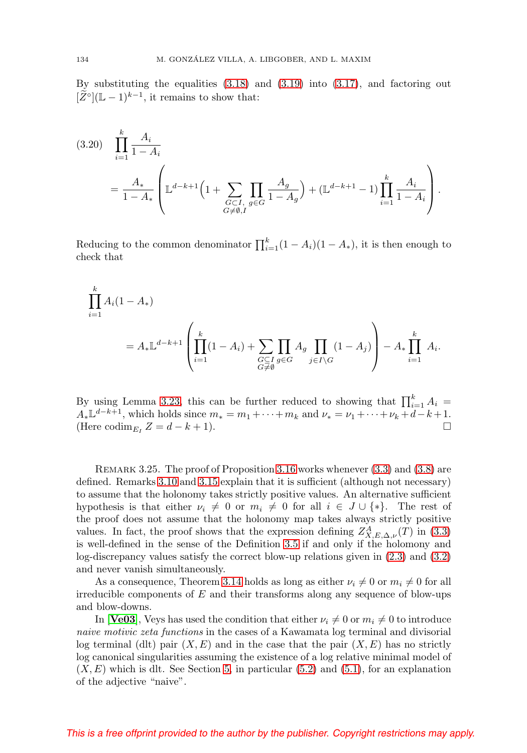By substituting the equalities [\(3.18\)](#page-16-1) and [\(3.19\)](#page-16-2) into [\(3.17\)](#page-16-0), and factoring out  $[\widetilde{Z}^{\circ}](\mathbb{L} - 1)^{k-1}$ , it remains to show that:

$$
(3.20) \prod_{i=1}^{k} \frac{A_i}{1 - A_i}
$$
  
= 
$$
\frac{A_*}{1 - A_*} \left( \mathbb{L}^{d-k+1} \left( 1 + \sum_{\substack{G \subset I, \\ G \neq \emptyset, I}} \prod_{g \in G} \frac{A_g}{1 - A_g} \right) + (\mathbb{L}^{d-k+1} - 1) \prod_{i=1}^{k} \frac{A_i}{1 - A_i} \right).
$$

Reducing to the common denominator  $\prod_{i=1}^{k} (1 - A_i)(1 - A_*)$ , it is then enough to check that

$$
\prod_{i=1}^{k} A_i (1 - A_*)
$$
\n
$$
= A_* \mathbb{L}^{d-k+1} \left( \prod_{i=1}^{k} (1 - A_i) + \sum_{\substack{G \subseteq I \\ G \neq \emptyset}} \prod_{g \in G} A_g \prod_{j \in I \setminus G} (1 - A_j) \right) - A_* \prod_{i=1}^{k} A_i.
$$

By using Lemma [3.23,](#page-11-2) this can be further reduced to showing that  $\prod_{i=1}^{k} A_i =$  $A_*\mathbb{L}^{d-k+1}$ , which holds since  $m_* = m_1 + \cdots + m_k$  and  $\nu_* = \nu_1 + \cdots + \nu_k + d - k + 1$ . (Here codim<sub>E<sub>I</sub></sub>  $Z = d - k + 1$ ).

REMARK 3.25. The proof of Proposition [3.16](#page-7-2) works whenever  $(3.3)$  and  $(3.8)$  are defined. Remarks [3.10](#page-6-1) and [3.15](#page-7-0) explain that it is sufficient (although not necessary) to assume that the holonomy takes strictly positive values. An alternative sufficient hypothesis is that either  $\nu_i \neq 0$  or  $m_i \neq 0$  for all  $i \in J \cup \{*\}$ . The rest of the proof does not assume that the holonomy map takes always strictly positive values. In fact, the proof shows that the expression defining  $Z_{X,E,\Delta,\nu}^{A}(T)$  in [\(3.3\)](#page-5-0) is well-defined in the sense of the Definition [3.5](#page-5-2) if and only if the holomony and log-discrepancy values satisfy the correct blow-up relations given in [\(2.3\)](#page-2-2) and [\(3.2\)](#page-4-0) and never vanish simultaneously.

As a consequence, Theorem [3.14](#page-6-0) holds as long as either  $\nu_i \neq 0$  or  $m_i \neq 0$  for all irreducible components of  $E$  and their transforms along any sequence of blow-ups and blow-downs.

In **[[Ve03](#page-23-13)**], Veys has used the condition that either  $\nu_i \neq 0$  or  $m_i \neq 0$  to introduce naive motivic zeta functions in the cases of a Kawamata log terminal and divisorial log terminal (dlt) pair  $(X, E)$  and in the case that the pair  $(X, E)$  has no strictly log canonical singularities assuming the existence of a log relative minimal model of  $(X, E)$  which is dlt. See Section [5,](#page-19-0) in particular  $(5.2)$  and  $(5.1)$ , for an explanation of the adjective "naive".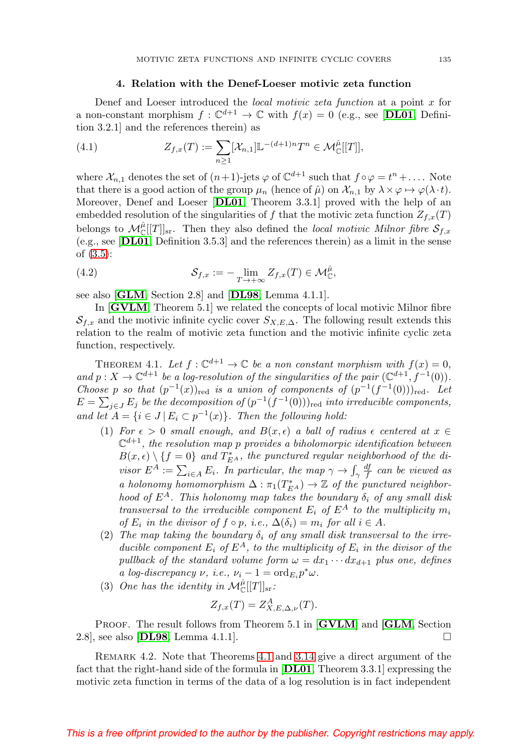### **4. Relation with the Denef-Loeser motivic zeta function**

<span id="page-18-0"></span>Denef and Loeser introduced the *local motivic zeta function* at a point x for a non-constant morphism  $f: \mathbb{C}^{d+1} \to \mathbb{C}$  with  $f(x) = 0$  (e.g., see [**[DL01](#page-23-8)**, Definition 3.2.1] and the references therein) as

<span id="page-18-2"></span>(4.1) 
$$
Z_{f,x}(T) := \sum_{n\geq 1} [\mathcal{X}_{n,1}] \mathbb{L}^{-(d+1)n} T^n \in \mathcal{M}_{\mathbb{C}}^{\hat{\mu}}[[T]],
$$

where  $\mathcal{X}_{n,1}$  denotes the set of  $(n+1)$ -jets  $\varphi$  of  $\mathbb{C}^{d+1}$  such that  $f \circ \varphi = t^n + \dots$ . Note that there is a good action of the group  $\mu_n$  (hence of  $\hat{\mu}$ ) on  $\mathcal{X}_{n,1}$  by  $\lambda \times \varphi \mapsto \varphi(\lambda \cdot t)$ . Moreover, Denef and Loeser [**[DL01](#page-23-8)**, Theorem 3.3.1] proved with the help of an embedded resolution of the singularities of f that the motivic zeta function  $Z_{f,x}(T)$ belongs to  $\mathcal{M}_{\mathbb{C}}^{\hat{\mu}}[[T]]_{\text{sr}}$ . Then they also defined the *local motivic Milnor fibre*  $\mathcal{S}_{f,x}$ (e.g., see [**[DL01](#page-23-8)**, Definition 3.5.3] and the references therein) as a limit in the sense of [\(3.5\)](#page-6-4):

(4.2) 
$$
\mathcal{S}_{f,x} := -\lim_{T \to +\infty} Z_{f,x}(T) \in \mathcal{M}_{\mathbb{C}}^{\hat{\mu}},
$$

see also [**[GLM](#page-23-11)**, Section 2.8] and [**[DL98](#page-23-12)**, Lemma 4.1.1].

In [**[GVLM](#page-23-7)**, Theorem 5.1] we related the concepts of local motivic Milnor fibre  $\mathcal{S}_{f,x}$  and the motivic infinite cyclic cover  $S_{X,E,\Delta}$ . The following result extends this relation to the realm of motivic zeta function and the motivic infinite cyclic zeta function, respectively.

<span id="page-18-1"></span>THEOREM 4.1. Let  $f: \mathbb{C}^{d+1} \to \mathbb{C}$  be a non constant morphism with  $f(x)=0$ , and  $p: X \to \mathbb{C}^{d+1}$  be a log-resolution of the singularities of the pair  $(\mathbb{C}^{d+1}, f^{-1}(0))$ . Choose p so that  $(p^{-1}(x))_{\text{red}}$  is a union of components of  $(p^{-1}(f^{-1}(0)))_{\text{red}}$ . Let  $E = \sum_{j \in J} E_j$  be the decomposition of  $(p^{-1}(f^{-1}(0)))_{\text{red}}$  into irreducible components, and let  $A = \{i \in J \mid E_i \subset p^{-1}(x)\}\$ . Then the following hold:

- (1) For  $\epsilon > 0$  small enough, and  $B(x, \epsilon)$  a ball of radius  $\epsilon$  centered at  $x \in$  $\mathbb{C}^{d+1}$ , the resolution map p provides a biholomorpic identification between  $B(x, \epsilon) \setminus \{f = 0\}$  and  $T_{EA}^*$ , the punctured regular neighborhood of the divisor  $E^A := \sum_{i \in A} E_i$ . In particular, the map  $\gamma \to \int_{\gamma} \frac{df}{f}$  can be viewed as a holonomy homomorphism  $\Delta : \pi_1(T_{EA}^*) \to \mathbb{Z}$  of the punctured neighborhood of  $E^A$ . This holonomy map takes the boundary  $\delta_i$  of any small disk transversal to the irreducible component  $E_i$  of  $E^A$  to the multiplicity  $m_i$ of  $E_i$  in the divisor of  $f \circ p$ , i.e.,  $\Delta(\delta_i) = m_i$  for all  $i \in A$ .
- (2) The map taking the boundary  $\delta_i$  of any small disk transversal to the irreducible component  $E_i$  of  $E^A$ , to the multiplicity of  $E_i$  in the divisor of the pullback of the standard volume form  $\omega = dx_1 \cdots dx_{d+1}$  plus one, defines a log-discrepancy  $\nu$ , i.e.,  $\nu_i - 1 = \text{ord}_{E_i} p^* \omega$ .
- (3) One has the identity in  $\mathcal{M}_{\mathbb{C}}^{\hat{\mu}}[[T]]_{\text{sr}}$ :

$$
Z_{f,x}(T) = Z_{X,E,\Delta,\nu}^A(T).
$$

Proof. The result follows from Theorem 5.1 in [**[GVLM](#page-23-7)**] and [**[GLM](#page-23-11)**, Section 2.8], see also [**[DL98](#page-23-12)**, Lemma 4.1.1]. -

Remark 4.2. Note that Theorems [4.1](#page-18-1) and [3.14](#page-6-0) give a direct argument of the fact that the right-hand side of the formula in [**[DL01](#page-23-8)**, Theorem 3.3.1] expressing the motivic zeta function in terms of the data of a log resolution is in fact independent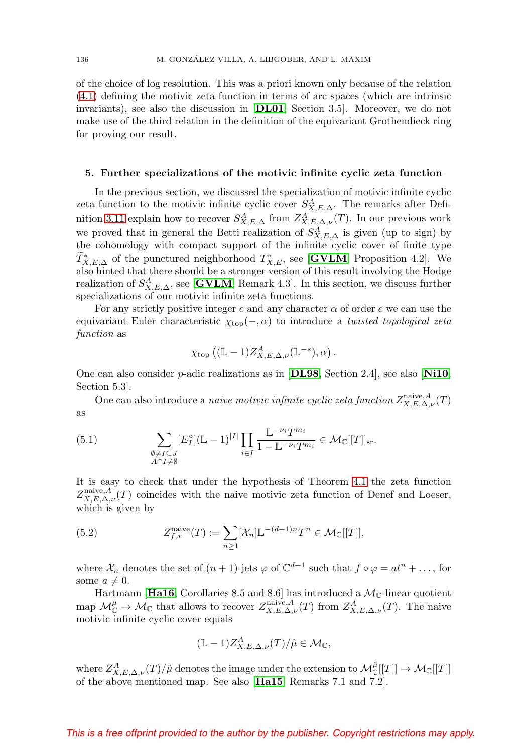of the choice of log resolution. This was a priori known only because of the relation [\(4.1\)](#page-18-2) defining the motivic zeta function in terms of arc spaces (which are intrinsic invariants), see also the discussion in [**[DL01](#page-23-8)**, Section 3.5]. Moreover, we do not make use of the third relation in the definition of the equivariant Grothendieck ring for proving our result.

#### <span id="page-19-0"></span>**5. Further specializations of the motivic infinite cyclic zeta function**

In the previous section, we discussed the specialization of motivic infinite cyclic zeta function to the motivic infinite cyclic cover  $S_{X,E,\Delta}^A$ . The remarks after Defi-nition [3.11](#page-6-5) explain how to recover  $S^A_{X,E,\Delta}$  from  $Z^A_{X,E,\Delta,\nu}(T)$ . In our previous work we proved that in general the Betti realization of  $S_{X,E,\Delta}^A$  is given (up to sign) by the cohomology with compact support of the infinite cyclic cover of finite type  $\widetilde{T}_{X,E,\Delta}^*$  of the punctured neighborhood  $T_{X,E}^*$ , see [**[GVLM](#page-23-7)**, Proposition 4.2]. We also hinted that there should be a stronger version of this result involving the Hodge realization of  $S_{X,E,\Delta}^A$ , see [**[GVLM](#page-23-7)**, Remark 4.3]. In this section, we discuss further specializations of our motivic infinite zeta functions.

For any strictly positive integer  $e$  and any character  $\alpha$  of order  $e$  we can use the equivariant Euler characteristic  $\chi_{\text{top}}(-, \alpha)$  to introduce a *twisted topological zeta* function as

$$
\chi_{\text{top}}\left( (\mathbb{L} - 1) Z_{X,E,\Delta,\nu}^A(\mathbb{L}^{-s}),\alpha \right).
$$

One can also consider p-adic realizations as in [**[DL98](#page-23-12)**, Section 2.4], see also [**[Ni10](#page-23-14)**, Section 5.3].

One can also introduce a *naive motivic infinite cyclic zeta function*  $Z_{X,E,\Delta,\nu}^{\text{naive},A}(T)$ as

<span id="page-19-2"></span>(5.1) 
$$
\sum_{\substack{\emptyset \neq I \subseteq J \\ A \cap I \neq \emptyset}} [E^{\circ}_I](\mathbb{L} - 1)^{|I|} \prod_{i \in I} \frac{\mathbb{L}^{-\nu_i} T^{m_i}}{1 - \mathbb{L}^{-\nu_i} T^{m_i}} \in \mathcal{M}_{\mathbb{C}}[[T]]_{\text{sr}}.
$$

It is easy to check that under the hypothesis of Theorem [4.1](#page-18-1) the zeta function  $Z_{X,E,\Delta,\nu}^{\text{naive},A}(T)$  coincides with the naive motivic zeta function of Denef and Loeser, which is given by

<span id="page-19-1"></span>(5.2) 
$$
Z_{f,x}^{\text{naive}}(T) := \sum_{n\geq 1} [\mathcal{X}_n] \mathbb{L}^{-(d+1)n} T^n \in \mathcal{M}_{\mathbb{C}}[[T]],
$$

where  $\mathcal{X}_n$  denotes the set of  $(n+1)$ -jets  $\varphi$  of  $\mathbb{C}^{d+1}$  such that  $f \circ \varphi = at^n + \ldots$ , for some  $a \neq 0$ .

Hartmann [[Ha16](#page-23-15), Corollaries 8.5 and 8.6] has introduced a  $\mathcal{M}_{\mathbb{C}}$ -linear quotient map  $\mathcal{M}_{\mathbb{C}}^{\mu} \to \mathcal{M}_{\mathbb{C}}$  that allows to recover  $Z_{X,E,\Delta,\nu}^{\text{naive},A}(T)$  from  $Z_{X,E,\Delta,\nu}^{A}(T)$ . The naive motivic infinite cyclic cover equals

$$
(\mathbb{L} - 1) Z_{X,E,\Delta,\nu}^A(T) / \hat{\mu} \in \mathcal{M}_{\mathbb{C}},
$$

where  $Z_{X,E,\Delta,\nu}^A(T)/\hat{\mu}$  denotes the image under the extension to  $\mathcal{M}_\mathbb{C}^{\hat{\mu}}[[T]] \to \mathcal{M}_\mathbb{C}[[T]]$ of the above mentioned map. See also [**[Ha15](#page-23-16)**, Remarks 7.1 and 7.2].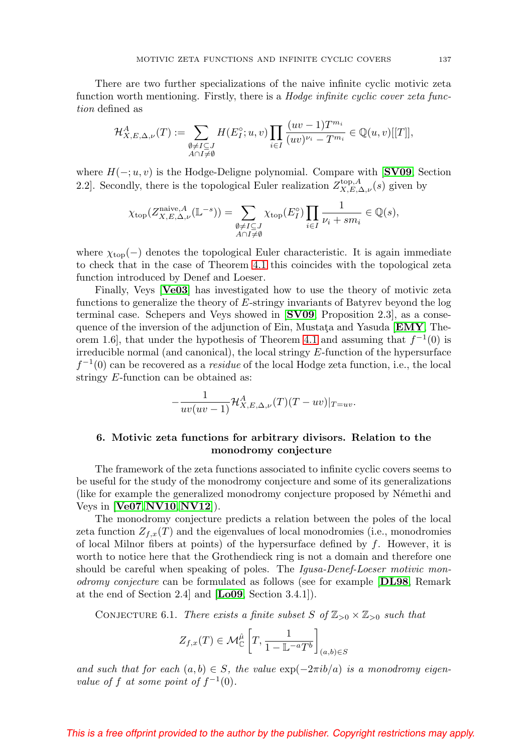There are two further specializations of the naive infinite cyclic motivic zeta function worth mentioning. Firstly, there is a *Hodge infinite cyclic cover zeta func*tion defined as

$$
\mathcal{H}^A_{X,E,\Delta,\nu}(T) := \sum_{\substack{\emptyset \neq I \subseteq J \\ A \cap I \neq \emptyset}} H(E_I^c;u,v) \prod_{i \in I} \frac{(uv - 1)T^{m_i}}{(uv)^{\nu_i} - T^{m_i}} \in \mathbb{Q}(u,v)[[T]],
$$

where H(−; u, v) is the Hodge-Deligne polynomial. Compare with [**[SV09](#page-23-17)**, Section 2.2]. Secondly, there is the topological Euler realization  $Z_{X,E,\Delta,\nu}^{\text{top},A}(s)$  given by

$$
\chi_{\mathrm{top}}(Z_{X,E,\Delta,\nu}^{\mathrm{naive},A}(\mathbb{L}^{-s}))=\sum_{\substack{\emptyset \neq I\subseteq J \\ A\cap I\neq\emptyset}}\chi_{\mathrm{top}}(E_I^\circ)\prod_{i\in I}\frac{1}{\nu_i+sm_i}\in\mathbb{Q}(s),
$$

where  $\chi_{\text{top}}(-)$  denotes the topological Euler characteristic. It is again immediate to check that in the case of Theorem [4.1](#page-18-1) this coincides with the topological zeta function introduced by Denef and Loeser.

Finally, Veys [**[Ve03](#page-23-13)**] has investigated how to use the theory of motivic zeta functions to generalize the theory of E-stringy invariants of Batyrev beyond the log terminal case. Schepers and Veys showed in [**[SV09](#page-23-17)**, Proposition 2.3], as a consequence of the inversion of the adjunction of Ein, Mustata and Yasuda [**[EMY](#page-23-18)**, The-orem 1.6], that under the hypothesis of Theorem [4.1](#page-18-1) and assuming that  $f^{-1}(0)$  is irreducible normal (and canonical), the local stringy  $E$ -function of the hypersurface  $f^{-1}(0)$  can be recovered as a *residue* of the local Hodge zeta function, i.e., the local stringy E-function can be obtained as:

$$
-\frac{1}{uv(uv-1)}\mathcal{H}_{X,E,\Delta,\nu}^A(T)(T-uv)|_{T=uv}.
$$

# **6. Motivic zeta functions for arbitrary divisors. Relation to the monodromy conjecture**

The framework of the zeta functions associated to infinite cyclic covers seems to be useful for the study of the monodromy conjecture and some of its generalizations (like for example the generalized monodromy conjecture proposed by N´emethi and Veys in [**[Ve07](#page-24-0)**,**[NV10](#page-23-19)**,**[NV12](#page-23-20)**]).

The monodromy conjecture predicts a relation between the poles of the local zeta function  $Z_{f,x}(T)$  and the eigenvalues of local monodromies (i.e., monodromies of local Milnor fibers at points) of the hypersurface defined by  $f$ . However, it is worth to notice here that the Grothendieck ring is not a domain and therefore one should be careful when speaking of poles. The Igusa-Denef-Loeser motivic monodromy conjecture can be formulated as follows (see for example [**[DL98](#page-23-12)**, Remark at the end of Section 2.4] and [**[Lo09](#page-23-21)**, Section 3.4.1]).

<span id="page-20-0"></span>CONJECTURE 6.1. There exists a finite subset S of  $\mathbb{Z}_{>0} \times \mathbb{Z}_{>0}$  such that

$$
Z_{f,x}(T) \in \mathcal{M}_{\mathbb{C}}^{\hat{\mu}}\left[T, \frac{1}{1 - \mathbb{L}^{-a}T^b}\right]_{(a,b)\in S}
$$

and such that for each  $(a, b) \in S$ , the value  $exp(-2\pi i b/a)$  is a monodromy eigenvalue of f at some point of  $f^{-1}(0)$ .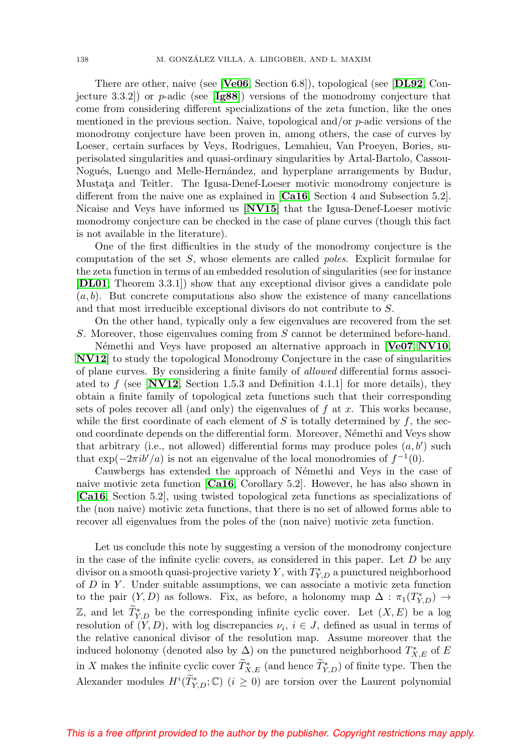There are other, naive (see [**[Ve06](#page-24-1)**, Section 6.8]), topological (see [**[DL92](#page-23-2)**, Conjecture 3.3.2]) or p-adic (see [**[Ig88](#page-23-10)**]) versions of the monodromy conjecture that come from considering different specializations of the zeta function, like the ones mentioned in the previous section. Naive, topological and/or  $p$ -adic versions of the monodromy conjecture have been proven in, among others, the case of curves by Loeser, certain surfaces by Veys, Rodrigues, Lemahieu, Van Proeyen, Bories, superisolated singularities and quasi-ordinary singularities by Artal-Bartolo, Cassou-Nogués, Luengo and Melle-Hernández, and hyperplane arrangements by Budur, Mustata and Teitler. The Igusa-Denef-Loeser motivic monodromy conjecture is different from the naive one as explained in [**[Ca16](#page-22-2)**, Section 4 and Subsection 5.2]. Nicaise and Veys have informed us [**[NV15](#page-23-22)**] that the Igusa-Denef-Loeser motivic monodromy conjecture can be checked in the case of plane curves (though this fact is not available in the literature).

One of the first difficulties in the study of the monodromy conjecture is the computation of the set S, whose elements are called poles. Explicit formulae for the zeta function in terms of an embedded resolution of singularities (see for instance [**[DL01](#page-23-8)**, Theorem 3.3.1]) show that any exceptional divisor gives a candidate pole  $(a, b)$ . But concrete computations also show the existence of many cancellations and that most irreducible exceptional divisors do not contribute to S.

On the other hand, typically only a few eigenvalues are recovered from the set S. Moreover, those eigenvalues coming from S cannot be determined before-hand.

Némethi and Veys have proposed an alternative approach in [[Ve07](#page-24-0), [NV10](#page-23-19), **[NV12](#page-23-20)**] to study the topological Monodromy Conjecture in the case of singularities of plane curves. By considering a finite family of allowed differential forms associated to  $f$  (see [**[NV12](#page-23-20)**, Section 1.5.3 and Definition 4.1.1] for more details), they obtain a finite family of topological zeta functions such that their corresponding sets of poles recover all (and only) the eigenvalues of  $f$  at  $x$ . This works because, while the first coordinate of each element of S is totally determined by  $f$ , the second coordinate depends on the differential form. Moreover, Némethi and Veys show that arbitrary (i.e., not allowed) differential forms may produce poles  $(a, b')$  such that  $\exp(-2\pi i b'/a)$  is not an eigenvalue of the local monodromies of  $f^{-1}(0)$ .

Cauwbergs has extended the approach of Némethi and Veys in the case of naive motivic zeta function [**[Ca16](#page-22-2)**, Corollary 5.2]. However, he has also shown in [**[Ca16](#page-22-2)**, Section 5.2], using twisted topological zeta functions as specializations of the (non naive) motivic zeta functions, that there is no set of allowed forms able to recover all eigenvalues from the poles of the (non naive) motivic zeta function.

Let us conclude this note by suggesting a version of the monodromy conjecture in the case of the infinite cyclic covers, as considered in this paper. Let  $D$  be any divisor on a smooth quasi-projective variety Y, with  $T^*_{Y,D}$  a punctured neighborhood of  $D$  in  $Y$ . Under suitable assumptions, we can associate a motivic zeta function to the pair  $(Y, D)$  as follows. Fix, as before, a holonomy map  $\Delta : \pi_1(T^*_{Y,D}) \rightarrow$  $\mathbb{Z}$ , and let  $\widetilde{T}_{Y,D}^*$  be the corresponding infinite cyclic cover. Let  $(X, E)$  be a log resolution of  $(Y, D)$ , with log discrepancies  $\nu_i, i \in J$ , defined as usual in terms of the relative canonical divisor of the resolution map. Assume moreover that the induced holonomy (denoted also by  $\Delta$ ) on the punctured neighborhood  $T^*_{X,E}$  of  $E$ in X makes the infinite cyclic cover  $T^*_{X,E}$  (and hence  $T^*_{Y,D}$ ) of finite type. Then the Alexander modules  $H^i(\tilde{T}_{Y,D}^*; \mathbb{C})$  ( $i \geq 0$ ) are torsion over the Laurent polynomial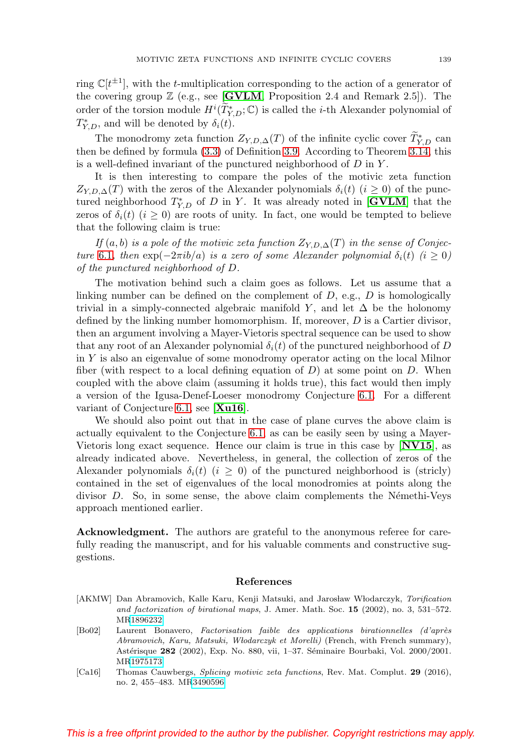ring  $\mathbb{C}[t^{\pm 1}]$ , with the *t*-multiplication corresponding to the action of a generator of the covering group  $\mathbb{Z}$  (e.g., see [**[GVLM](#page-23-7)**, Proposition 2.4 and Remark 2.5]). The order of the torsion module  $H^i(\tilde{T}_{Y,D}^*, \mathbb{C})$  is called the *i*-th Alexander polynomial of  $T_{Y,D}^*$ , and will be denoted by  $\delta_i(t)$ .

The monodromy zeta function  $Z_{Y,D,\Delta}(T)$  of the infinite cyclic cover  $T_{Y,D}^*$  can then be defined by formula [\(3.3\)](#page-5-0) of Definition [3.9.](#page-5-1) According to Theorem [3.14,](#page-6-0) this is a well-defined invariant of the punctured neighborhood of  $D$  in  $Y$ .

It is then interesting to compare the poles of the motivic zeta function  $Z_{Y,D,\Delta}(T)$  with the zeros of the Alexander polynomials  $\delta_i(t)$   $(i \geq 0)$  of the punctured neighborhood  $T_{Y,D}^*$  of D in Y. It was already noted in [**[GVLM](#page-23-7)**] that the zeros of  $\delta_i(t)$  ( $i \geq 0$ ) are roots of unity. In fact, one would be tempted to believe that the following claim is true:

If  $(a, b)$  is a pole of the motivic zeta function  $Z_{Y,D,\Delta}(T)$  in the sense of Conjec-ture [6.1](#page-20-0), then  $\exp(-2\pi i b/a)$  is a zero of some Alexander polynomial  $\delta_i(t)$  (i  $\geq 0$ ) of the punctured neighborhood of D.

The motivation behind such a claim goes as follows. Let us assume that a linking number can be defined on the complement of  $D$ , e.g.,  $D$  is homologically trivial in a simply-connected algebraic manifold Y, and let  $\Delta$  be the holonomy defined by the linking number homomorphism. If, moreover, D is a Cartier divisor, then an argument involving a Mayer-Vietoris spectral sequence can be used to show that any root of an Alexander polynomial  $\delta_i(t)$  of the punctured neighborhood of D in Y is also an eigenvalue of some monodromy operator acting on the local Milnor fiber (with respect to a local defining equation of  $D$ ) at some point on  $D$ . When coupled with the above claim (assuming it holds true), this fact would then imply a version of the Igusa-Denef-Loeser monodromy Conjecture [6.1.](#page-20-0) For a different variant of Conjecture [6.1,](#page-20-0) see [**[Xu16](#page-24-2)**].

We should also point out that in the case of plane curves the above claim is actually equivalent to the Conjecture [6.1,](#page-20-0) as can be easily seen by using a Mayer-Vietoris long exact sequence. Hence our claim is true in this case by [**[NV15](#page-23-22)**], as already indicated above. Nevertheless, in general, the collection of zeros of the Alexander polynomials  $\delta_i(t)$  ( $i \geq 0$ ) of the punctured neighborhood is (stricly) contained in the set of eigenvalues of the local monodromies at points along the divisor  $D$ . So, in some sense, the above claim complements the Némethi-Veys approach mentioned earlier.

**Acknowledgment.** The authors are grateful to the anonymous referee for carefully reading the manuscript, and for his valuable comments and constructive suggestions.

#### **References**

- <span id="page-22-0"></span>[AKMW] Dan Abramovich, Kalle Karu, Kenji Matsuki, and Jarosław Włodarczyk, Torification and factorization of birational maps, J. Amer. Math. Soc. **15** (2002), no. 3, 531–572. M[R1896232](http://www.ams.org/mathscinet-getitem?mr=1896232)
- <span id="page-22-1"></span>[Bo02] Laurent Bonavero, Factorisation faible des applications birationnelles (d'après Abramovich, Karu, Matsuki, Włodarczyk et Morelli) (French, with French summary), Astérisque 282 (2002), Exp. No. 880, vii, 1–37. Séminaire Bourbaki, Vol. 2000/2001. M[R1975173](http://www.ams.org/mathscinet-getitem?mr=1975173)
- <span id="page-22-2"></span>[Ca16] Thomas Cauwbergs, Splicing motivic zeta functions, Rev. Mat. Complut. **29** (2016), no. 2, 455–483. M[R3490596](http://www.ams.org/mathscinet-getitem?mr=3490596)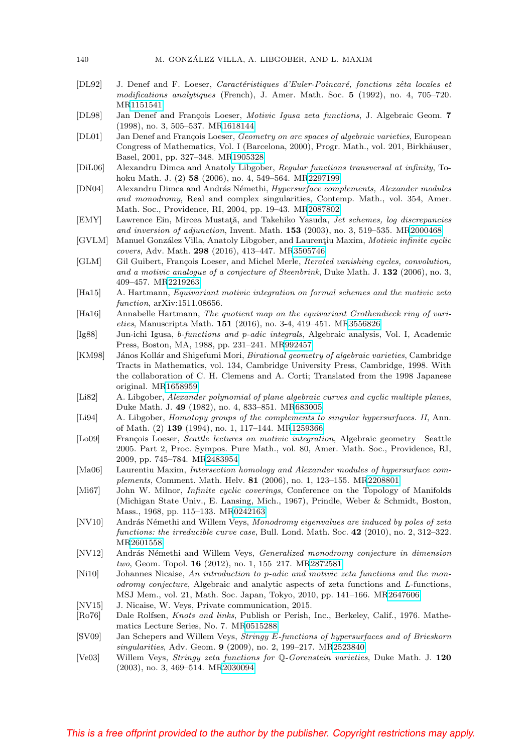- <span id="page-23-2"></span>[DL92] J. Denef and F. Loeser, *Caractéristiques d'Euler-Poincaré*, fonctions zêta locales et modifications analytiques (French), J. Amer. Math. Soc. **5** (1992), no. 4, 705–720. M[R1151541](http://www.ams.org/mathscinet-getitem?mr=1151541)
- <span id="page-23-12"></span>[DL98] Jan Denef and François Loeser, *Motivic Igusa zeta functions*, J. Algebraic Geom. **7** (1998), no. 3, 505–537. M[R1618144](http://www.ams.org/mathscinet-getitem?mr=1618144)
- <span id="page-23-8"></span>[DL01] Jan Denef and François Loeser, Geometry on arc spaces of algebraic varieties, European Congress of Mathematics, Vol. I (Barcelona, 2000), Progr. Math., vol. 201, Birkhäuser, Basel, 2001, pp. 327–348. M[R1905328](http://www.ams.org/mathscinet-getitem?mr=1905328)
- [DiL06] Alexandru Dimca and Anatoly Libgober, Regular functions transversal at infinity, Tohoku Math. J. (2) **58** (2006), no. 4, 549–564. M[R2297199](http://www.ams.org/mathscinet-getitem?mr=2297199)
- <span id="page-23-3"></span>[DN04] Alexandru Dimca and András Némethi, *Hypersurface complements*, Alexander modules and monodromy, Real and complex singularities, Contemp. Math., vol. 354, Amer. Math. Soc., Providence, RI, 2004, pp. 19–43. M[R2087802](http://www.ams.org/mathscinet-getitem?mr=2087802)
- <span id="page-23-18"></span>[EMY] Lawrence Ein, Mircea Mustată, and Takehiko Yasuda, Jet schemes, log discrepancies and inversion of adjunction, Invent. Math. **153** (2003), no. 3, 519–535. M[R2000468](http://www.ams.org/mathscinet-getitem?mr=2000468)
- <span id="page-23-7"></span>[GVLM] Manuel González Villa, Anatoly Libgober, and Laurentiu Maxim, Motivic infinite cyclic covers, Adv. Math. **298** (2016), 413–447. M[R3505746](http://www.ams.org/mathscinet-getitem?mr=3505746)
- <span id="page-23-11"></span>[GLM] Gil Guibert, François Loeser, and Michel Merle, Iterated vanishing cycles, convolution, and a motivic analogue of a conjecture of Steenbrink, Duke Math. J. **132** (2006), no. 3, 409–457. M[R2219263](http://www.ams.org/mathscinet-getitem?mr=2219263)
- <span id="page-23-16"></span>[Ha15] A. Hartmann, Equivariant motivic integration on formal schemes and the motivic zeta function, arXiv:1511.08656.
- <span id="page-23-15"></span>[Ha16] Annabelle Hartmann, The quotient map on the equivariant Grothendieck ring of varieties, Manuscripta Math. **151** (2016), no. 3-4, 419–451. M[R3556826](http://www.ams.org/mathscinet-getitem?mr=3556826)
- <span id="page-23-10"></span>[Ig88] Jun-ichi Igusa, b-functions and p-adic integrals, Algebraic analysis, Vol. I, Academic Press, Boston, MA, 1988, pp. 231–241. M[R992457](http://www.ams.org/mathscinet-getitem?mr=992457)
- <span id="page-23-9"></span>[KM98] János Kollár and Shigefumi Mori, Birational geometry of algebraic varieties, Cambridge Tracts in Mathematics, vol. 134, Cambridge University Press, Cambridge, 1998. With the collaboration of C. H. Clemens and A. Corti; Translated from the 1998 Japanese original. M[R1658959](http://www.ams.org/mathscinet-getitem?mr=1658959)
- <span id="page-23-4"></span>[Li82] A. Libgober, Alexander polynomial of plane algebraic curves and cyclic multiple planes, Duke Math. J. **49** (1982), no. 4, 833–851. M[R683005](http://www.ams.org/mathscinet-getitem?mr=683005)
- <span id="page-23-5"></span>[Li94] A. Libgober, Homotopy groups of the complements to singular hypersurfaces. II, Ann. of Math. (2) **139** (1994), no. 1, 117–144. M[R1259366](http://www.ams.org/mathscinet-getitem?mr=1259366)
- <span id="page-23-21"></span>[Lo09] François Loeser, Seattle lectures on motivic integration, Algebraic geometry—Seattle 2005. Part 2, Proc. Sympos. Pure Math., vol. 80, Amer. Math. Soc., Providence, RI, 2009, pp. 745–784. M[R2483954](http://www.ams.org/mathscinet-getitem?mr=2483954)
- <span id="page-23-6"></span>[Ma06] Laurentiu Maxim, Intersection homology and Alexander modules of hypersurface complements, Comment. Math. Helv. **81** (2006), no. 1, 123–155. M[R2208801](http://www.ams.org/mathscinet-getitem?mr=2208801)
- <span id="page-23-1"></span>[Mi67] John W. Milnor, Infinite cyclic coverings, Conference on the Topology of Manifolds (Michigan State Univ., E. Lansing, Mich., 1967), Prindle, Weber & Schmidt, Boston, Mass., 1968, pp. 115–133. M[R0242163](http://www.ams.org/mathscinet-getitem?mr=0242163)
- <span id="page-23-19"></span>[NV10] András Némethi and Willem Veys, Monodromy eigenvalues are induced by poles of zeta functions: the irreducible curve case, Bull. Lond. Math. Soc. **42** (2010), no. 2, 312–322. M[R2601558](http://www.ams.org/mathscinet-getitem?mr=2601558)
- <span id="page-23-20"></span>[NV12] András Némethi and Willem Veys, Generalized monodromy conjecture in dimension two, Geom. Topol. **16** (2012), no. 1, 155–217. M[R2872581](http://www.ams.org/mathscinet-getitem?mr=2872581)
- <span id="page-23-14"></span>[Ni10] Johannes Nicaise, An introduction to p-adic and motivic zeta functions and the monodromy conjecture, Algebraic and analytic aspects of zeta functions and L-functions, MSJ Mem., vol. 21, Math. Soc. Japan, Tokyo, 2010, pp. 141–166. M[R2647606](http://www.ams.org/mathscinet-getitem?mr=2647606)
- <span id="page-23-22"></span>[NV15] J. Nicaise, W. Veys, Private communication, 2015.
- <span id="page-23-0"></span>[Ro76] Dale Rolfsen, Knots and links, Publish or Perish, Inc., Berkeley, Calif., 1976. Mathematics Lecture Series, No. 7. M[R0515288](http://www.ams.org/mathscinet-getitem?mr=0515288)
- <span id="page-23-17"></span>[SV09] Jan Schepers and Willem Veys, Stringy E-functions of hypersurfaces and of Brieskorn singularities, Adv. Geom. **9** (2009), no. 2, 199–217. M[R2523840](http://www.ams.org/mathscinet-getitem?mr=2523840)
- <span id="page-23-13"></span>[Ve03] Willem Veys, Stringy zeta functions for Q-Gorenstein varieties, Duke Math. J. **120** (2003), no. 3, 469–514. M[R2030094](http://www.ams.org/mathscinet-getitem?mr=2030094)